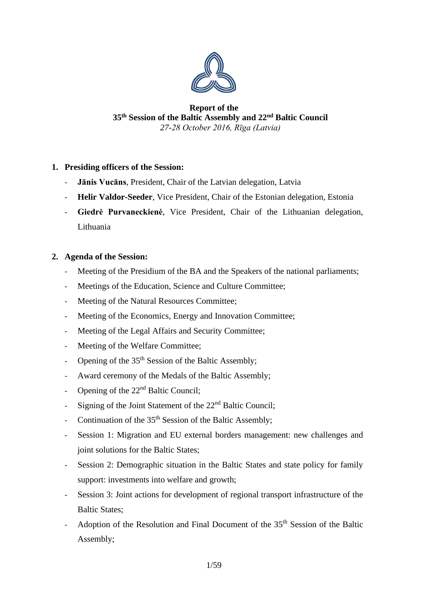

# **Report of the 35th Session of the Baltic Assembly and 22nd Baltic Council** *27-28 October 2016, Rīga (Latvia)*

# **1. Presiding officers of the Session:**

- **Jānis Vucāns**, President, Chair of the Latvian delegation, Latvia
- **Helir Valdor-Seeder**, Vice President, Chair of the Estonian delegation, Estonia
- **Giedrė Purvaneckienė**, Vice President, Chair of the Lithuanian delegation, Lithuania

# **2. Agenda of the Session:**

- Meeting of the Presidium of the BA and the Speakers of the national parliaments;
- Meetings of the Education, Science and Culture Committee;
- Meeting of the Natural Resources Committee;
- Meeting of the Economics, Energy and Innovation Committee;
- Meeting of the Legal Affairs and Security Committee;
- Meeting of the Welfare Committee;
- Opening of the  $35<sup>th</sup>$  Session of the Baltic Assembly;
- Award ceremony of the Medals of the Baltic Assembly;
- Opening of the 22<sup>nd</sup> Baltic Council;
- Signing of the Joint Statement of the 22<sup>nd</sup> Baltic Council;
- Continuation of the  $35<sup>th</sup>$  Session of the Baltic Assembly;
- Session 1: Migration and EU external borders management: new challenges and joint solutions for the Baltic States;
- Session 2: Demographic situation in the Baltic States and state policy for family support: investments into welfare and growth;
- Session 3: Joint actions for development of regional transport infrastructure of the Baltic States;
- Adoption of the Resolution and Final Document of the 35<sup>th</sup> Session of the Baltic Assembly;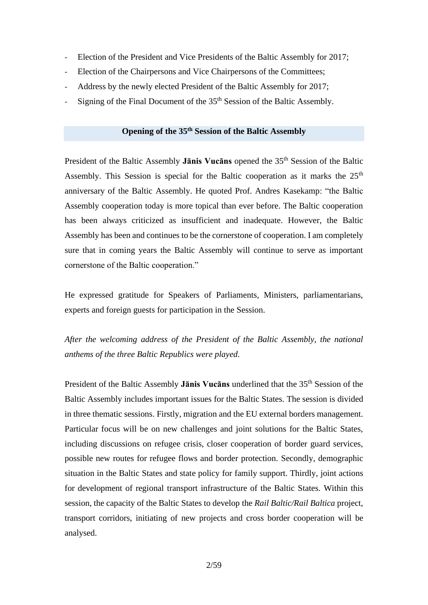- Election of the President and Vice Presidents of the Baltic Assembly for 2017;
- Election of the Chairpersons and Vice Chairpersons of the Committees;
- Address by the newly elected President of the Baltic Assembly for 2017;
- Signing of the Final Document of the 35<sup>th</sup> Session of the Baltic Assembly.

# **Opening of the 35th Session of the Baltic Assembly**

President of the Baltic Assembly Janis Vucans opened the 35<sup>th</sup> Session of the Baltic Assembly. This Session is special for the Baltic cooperation as it marks the  $25<sup>th</sup>$ anniversary of the Baltic Assembly. He quoted Prof. Andres Kasekamp: "the Baltic Assembly cooperation today is more topical than ever before. The Baltic cooperation has been always criticized as insufficient and inadequate. However, the Baltic Assembly has been and continues to be the cornerstone of cooperation. I am completely sure that in coming years the Baltic Assembly will continue to serve as important cornerstone of the Baltic cooperation."

He expressed gratitude for Speakers of Parliaments, Ministers, parliamentarians, experts and foreign guests for participation in the Session.

*After the welcoming address of the President of the Baltic Assembly, the national anthems of the three Baltic Republics were played.*

President of the Baltic Assembly **Janis Vucans** underlined that the 35<sup>th</sup> Session of the Baltic Assembly includes important issues for the Baltic States. The session is divided in three thematic sessions. Firstly, migration and the EU external borders management. Particular focus will be on new challenges and joint solutions for the Baltic States, including discussions on refugee crisis, closer cooperation of border guard services, possible new routes for refugee flows and border protection. Secondly, demographic situation in the Baltic States and state policy for family support. Thirdly, joint actions for development of regional transport infrastructure of the Baltic States. Within this session, the capacity of the Baltic States to develop the *Rail Baltic/Rail Baltica* project, transport corridors, initiating of new projects and cross border cooperation will be analysed.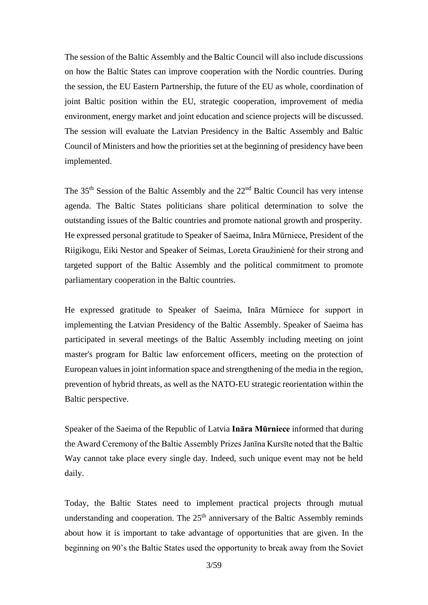The session of the Baltic Assembly and the Baltic Council will also include discussions on how the Baltic States can improve cooperation with the Nordic countries. During the session, the EU Eastern Partnership, the future of the EU as whole, coordination of joint Baltic position within the EU, strategic cooperation, improvement of media environment, energy market and joint education and science projects will be discussed. The session will evaluate the Latvian Presidency in the Baltic Assembly and Baltic Council of Ministers and how the priorities set at the beginning of presidency have been implemented.

The 35<sup>th</sup> Session of the Baltic Assembly and the 22<sup>nd</sup> Baltic Council has very intense agenda. The Baltic States politicians share political determination to solve the outstanding issues of the Baltic countries and promote national growth and prosperity. He expressed personal gratitude to Speaker of Saeima, Ināra Mūrniece, President of the Riigikogu, Eiki Nestor and Speaker of Seimas, Loreta Graužinienė for their strong and targeted support of the Baltic Assembly and the political commitment to promote parliamentary cooperation in the Baltic countries.

He expressed gratitude to Speaker of Saeima, Ināra Mūrniece for support in implementing the Latvian Presidency of the Baltic Assembly. Speaker of Saeima has participated in several meetings of the Baltic Assembly including meeting on joint master's program for Baltic law enforcement officers, meeting on the protection of European values in joint information space and strengthening of the media in the region, prevention of hybrid threats, as well as the NATO-EU strategic reorientation within the Baltic perspective.

Speaker of the Saeima of the Republic of Latvia **Ināra Mūrniece** informed that during the Award Ceremony of the Baltic Assembly Prizes Janīna Kursīte noted that the Baltic Way cannot take place every single day. Indeed, such unique event may not be held daily.

Today, the Baltic States need to implement practical projects through mutual understanding and cooperation. The  $25<sup>th</sup>$  anniversary of the Baltic Assembly reminds about how it is important to take advantage of opportunities that are given. In the beginning on 90's the Baltic States used the opportunity to break away from the Soviet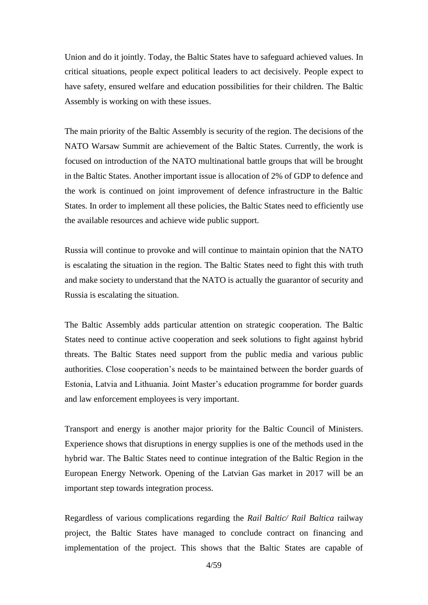Union and do it jointly. Today, the Baltic States have to safeguard achieved values. In critical situations, people expect political leaders to act decisively. People expect to have safety, ensured welfare and education possibilities for their children. The Baltic Assembly is working on with these issues.

The main priority of the Baltic Assembly is security of the region. The decisions of the NATO Warsaw Summit are achievement of the Baltic States. Currently, the work is focused on introduction of the NATO multinational battle groups that will be brought in the Baltic States. Another important issue is allocation of 2% of GDP to defence and the work is continued on joint improvement of defence infrastructure in the Baltic States. In order to implement all these policies, the Baltic States need to efficiently use the available resources and achieve wide public support.

Russia will continue to provoke and will continue to maintain opinion that the NATO is escalating the situation in the region. The Baltic States need to fight this with truth and make society to understand that the NATO is actually the guarantor of security and Russia is escalating the situation.

The Baltic Assembly adds particular attention on strategic cooperation. The Baltic States need to continue active cooperation and seek solutions to fight against hybrid threats. The Baltic States need support from the public media and various public authorities. Close cooperation's needs to be maintained between the border guards of Estonia, Latvia and Lithuania. Joint Master's education programme for border guards and law enforcement employees is very important.

Transport and energy is another major priority for the Baltic Council of Ministers. Experience shows that disruptions in energy supplies is one of the methods used in the hybrid war. The Baltic States need to continue integration of the Baltic Region in the European Energy Network. Opening of the Latvian Gas market in 2017 will be an important step towards integration process.

Regardless of various complications regarding the *Rail Baltic/ Rail Baltica* railway project, the Baltic States have managed to conclude contract on financing and implementation of the project. This shows that the Baltic States are capable of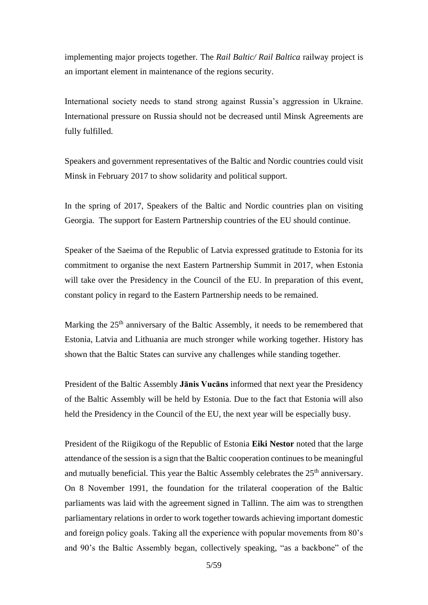implementing major projects together. The *Rail Baltic/ Rail Baltica* railway project is an important element in maintenance of the regions security.

International society needs to stand strong against Russia's aggression in Ukraine. International pressure on Russia should not be decreased until Minsk Agreements are fully fulfilled.

Speakers and government representatives of the Baltic and Nordic countries could visit Minsk in February 2017 to show solidarity and political support.

In the spring of 2017, Speakers of the Baltic and Nordic countries plan on visiting Georgia. The support for Eastern Partnership countries of the EU should continue.

Speaker of the Saeima of the Republic of Latvia expressed gratitude to Estonia for its commitment to organise the next Eastern Partnership Summit in 2017, when Estonia will take over the Presidency in the Council of the EU. In preparation of this event, constant policy in regard to the Eastern Partnership needs to be remained.

Marking the 25<sup>th</sup> anniversary of the Baltic Assembly, it needs to be remembered that Estonia, Latvia and Lithuania are much stronger while working together. History has shown that the Baltic States can survive any challenges while standing together.

President of the Baltic Assembly **Jānis Vucāns** informed that next year the Presidency of the Baltic Assembly will be held by Estonia. Due to the fact that Estonia will also held the Presidency in the Council of the EU, the next year will be especially busy.

President of the Riigikogu of the Republic of Estonia **Eiki Nestor** noted that the large attendance of the session is a sign that the Baltic cooperation continues to be meaningful and mutually beneficial. This year the Baltic Assembly celebrates the  $25<sup>th</sup>$  anniversary. On 8 November 1991, the foundation for the trilateral cooperation of the Baltic parliaments was laid with the agreement signed in Tallinn. The aim was to strengthen parliamentary relations in order to work together towards achieving important domestic and foreign policy goals. Taking all the experience with popular movements from 80's and 90's the Baltic Assembly began, collectively speaking, "as a backbone" of the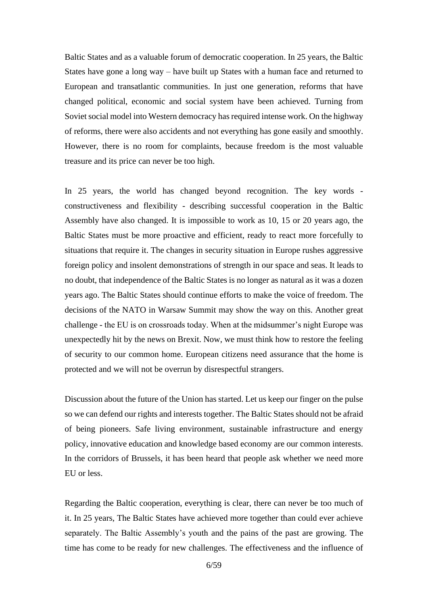Baltic States and as a valuable forum of democratic cooperation. In 25 years, the Baltic States have gone a long way – have built up States with a human face and returned to European and transatlantic communities. In just one generation, reforms that have changed political, economic and social system have been achieved. Turning from Soviet social model into Western democracy has required intense work. On the highway of reforms, there were also accidents and not everything has gone easily and smoothly. However, there is no room for complaints, because freedom is the most valuable treasure and its price can never be too high.

In 25 years, the world has changed beyond recognition. The key words constructiveness and flexibility - describing successful cooperation in the Baltic Assembly have also changed. It is impossible to work as 10, 15 or 20 years ago, the Baltic States must be more proactive and efficient, ready to react more forcefully to situations that require it. The changes in security situation in Europe rushes aggressive foreign policy and insolent demonstrations of strength in our space and seas. It leads to no doubt, that independence of the Baltic States is no longer as natural as it was a dozen years ago. The Baltic States should continue efforts to make the voice of freedom. The decisions of the NATO in Warsaw Summit may show the way on this. Another great challenge - the EU is on crossroads today. When at the midsummer's night Europe was unexpectedly hit by the news on Brexit. Now, we must think how to restore the feeling of security to our common home. European citizens need assurance that the home is protected and we will not be overrun by disrespectful strangers.

Discussion about the future of the Union has started. Let us keep our finger on the pulse so we can defend our rights and interests together. The Baltic States should not be afraid of being pioneers. Safe living environment, sustainable infrastructure and energy policy, innovative education and knowledge based economy are our common interests. In the corridors of Brussels, it has been heard that people ask whether we need more EU or less.

Regarding the Baltic cooperation, everything is clear, there can never be too much of it. In 25 years, The Baltic States have achieved more together than could ever achieve separately. The Baltic Assembly's youth and the pains of the past are growing. The time has come to be ready for new challenges. The effectiveness and the influence of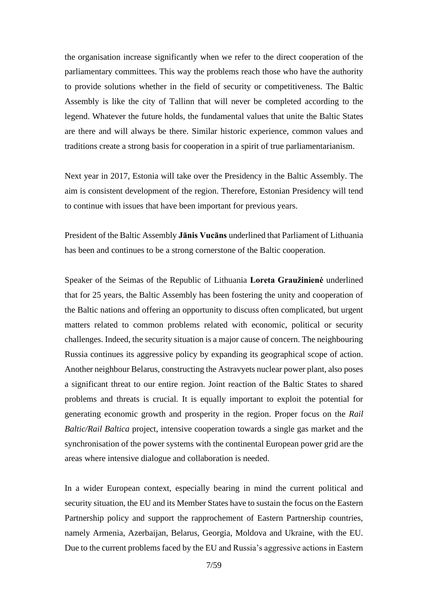the organisation increase significantly when we refer to the direct cooperation of the parliamentary committees. This way the problems reach those who have the authority to provide solutions whether in the field of security or competitiveness. The Baltic Assembly is like the city of Tallinn that will never be completed according to the legend. Whatever the future holds, the fundamental values that unite the Baltic States are there and will always be there. Similar historic experience, common values and traditions create a strong basis for cooperation in a spirit of true parliamentarianism.

Next year in 2017, Estonia will take over the Presidency in the Baltic Assembly. The aim is consistent development of the region. Therefore, Estonian Presidency will tend to continue with issues that have been important for previous years.

President of the Baltic Assembly **Jānis Vucāns** underlined that Parliament of Lithuania has been and continues to be a strong cornerstone of the Baltic cooperation.

Speaker of the Seimas of the Republic of Lithuania **Loreta Graužinienė** underlined that for 25 years, the Baltic Assembly has been fostering the unity and cooperation of the Baltic nations and offering an opportunity to discuss often complicated, but urgent matters related to common problems related with economic, political or security challenges. Indeed, the security situation is a major cause of concern. The neighbouring Russia continues its aggressive policy by expanding its geographical scope of action. Another neighbour Belarus, constructing the Astravyets nuclear power plant, also poses a significant threat to our entire region. Joint reaction of the Baltic States to shared problems and threats is crucial. It is equally important to exploit the potential for generating economic growth and prosperity in the region. Proper focus on the *Rail Baltic/Rail Baltica* project, intensive cooperation towards a single gas market and the synchronisation of the power systems with the continental European power grid are the areas where intensive dialogue and collaboration is needed.

In a wider European context, especially bearing in mind the current political and security situation, the EU and its Member States have to sustain the focus on the Eastern Partnership policy and support the rapprochement of Eastern Partnership countries, namely Armenia, Azerbaijan, Belarus, Georgia, Moldova and Ukraine, with the EU. Due to the current problems faced by the EU and Russia's aggressive actions in Eastern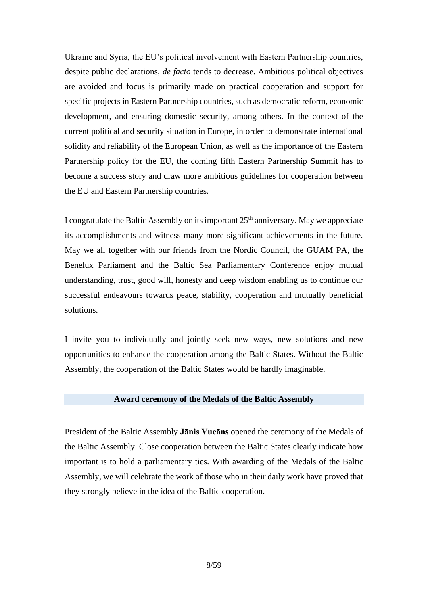Ukraine and Syria, the EU's political involvement with Eastern Partnership countries, despite public declarations, *de facto* tends to decrease. Ambitious political objectives are avoided and focus is primarily made on practical cooperation and support for specific projects in Eastern Partnership countries, such as democratic reform, economic development, and ensuring domestic security, among others. In the context of the current political and security situation in Europe, in order to demonstrate international solidity and reliability of the European Union, as well as the importance of the Eastern Partnership policy for the EU, the coming fifth Eastern Partnership Summit has to become a success story and draw more ambitious guidelines for cooperation between the EU and Eastern Partnership countries.

I congratulate the Baltic Assembly on its important  $25<sup>th</sup>$  anniversary. May we appreciate its accomplishments and witness many more significant achievements in the future. May we all together with our friends from the Nordic Council, the GUAM PA, the Benelux Parliament and the Baltic Sea Parliamentary Conference enjoy mutual understanding, trust, good will, honesty and deep wisdom enabling us to continue our successful endeavours towards peace, stability, cooperation and mutually beneficial solutions.

I invite you to individually and jointly seek new ways, new solutions and new opportunities to enhance the cooperation among the Baltic States. Without the Baltic Assembly, the cooperation of the Baltic States would be hardly imaginable.

#### **Award ceremony of the Medals of the Baltic Assembly**

President of the Baltic Assembly **Jānis Vucāns** opened the ceremony of the Medals of the Baltic Assembly. Close cooperation between the Baltic States clearly indicate how important is to hold a parliamentary ties. With awarding of the Medals of the Baltic Assembly, we will celebrate the work of those who in their daily work have proved that they strongly believe in the idea of the Baltic cooperation.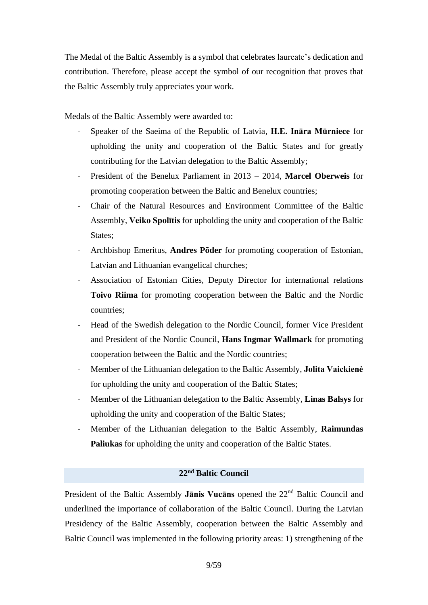The Medal of the Baltic Assembly is a symbol that celebrates laureate's dedication and contribution. Therefore, please accept the symbol of our recognition that proves that the Baltic Assembly truly appreciates your work.

Medals of the Baltic Assembly were awarded to:

- Speaker of the Saeima of the Republic of Latvia, **H.E. Ināra Mūrniece** for upholding the unity and cooperation of the Baltic States and for greatly contributing for the Latvian delegation to the Baltic Assembly;
- President of the Benelux Parliament in 2013 2014, **Marcel Oberweis** for promoting cooperation between the Baltic and Benelux countries;
- Chair of the Natural Resources and Environment Committee of the Baltic Assembly, **Veiko Spolītis** for upholding the unity and cooperation of the Baltic States;
- Archbishop Emeritus, **Andres Põder** for promoting cooperation of Estonian, Latvian and Lithuanian evangelical churches;
- Association of Estonian Cities, Deputy Director for international relations **Toivo Riima** for promoting cooperation between the Baltic and the Nordic countries;
- Head of the Swedish delegation to the Nordic Council, former Vice President and President of the Nordic Council, **Hans Ingmar Wallmark** for promoting cooperation between the Baltic and the Nordic countries;
- Member of the Lithuanian delegation to the Baltic Assembly, **Jolita Vaickienė** for upholding the unity and cooperation of the Baltic States;
- Member of the Lithuanian delegation to the Baltic Assembly, **Linas Balsys** for upholding the unity and cooperation of the Baltic States;
- Member of the Lithuanian delegation to the Baltic Assembly, **Raimundas Paliukas** for upholding the unity and cooperation of the Baltic States.

# **22 nd Baltic Council**

President of the Baltic Assembly **Janis Vucans** opened the 22<sup>nd</sup> Baltic Council and underlined the importance of collaboration of the Baltic Council. During the Latvian Presidency of the Baltic Assembly, cooperation between the Baltic Assembly and Baltic Council was implemented in the following priority areas: 1) strengthening of the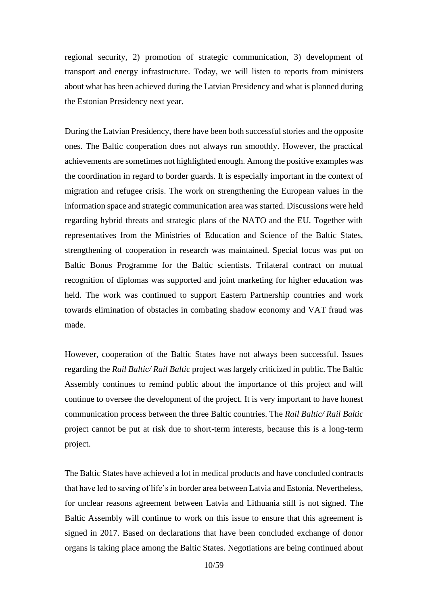regional security, 2) promotion of strategic communication, 3) development of transport and energy infrastructure. Today, we will listen to reports from ministers about what has been achieved during the Latvian Presidency and what is planned during the Estonian Presidency next year.

During the Latvian Presidency, there have been both successful stories and the opposite ones. The Baltic cooperation does not always run smoothly. However, the practical achievements are sometimes not highlighted enough. Among the positive examples was the coordination in regard to border guards. It is especially important in the context of migration and refugee crisis. The work on strengthening the European values in the information space and strategic communication area was started. Discussions were held regarding hybrid threats and strategic plans of the NATO and the EU. Together with representatives from the Ministries of Education and Science of the Baltic States, strengthening of cooperation in research was maintained. Special focus was put on Baltic Bonus Programme for the Baltic scientists. Trilateral contract on mutual recognition of diplomas was supported and joint marketing for higher education was held. The work was continued to support Eastern Partnership countries and work towards elimination of obstacles in combating shadow economy and VAT fraud was made.

However, cooperation of the Baltic States have not always been successful. Issues regarding the *Rail Baltic/ Rail Baltic* project was largely criticized in public. The Baltic Assembly continues to remind public about the importance of this project and will continue to oversee the development of the project. It is very important to have honest communication process between the three Baltic countries. The *Rail Baltic/ Rail Baltic* project cannot be put at risk due to short-term interests, because this is a long-term project.

The Baltic States have achieved a lot in medical products and have concluded contracts that have led to saving of life's in border area between Latvia and Estonia. Nevertheless, for unclear reasons agreement between Latvia and Lithuania still is not signed. The Baltic Assembly will continue to work on this issue to ensure that this agreement is signed in 2017. Based on declarations that have been concluded exchange of donor organs is taking place among the Baltic States. Negotiations are being continued about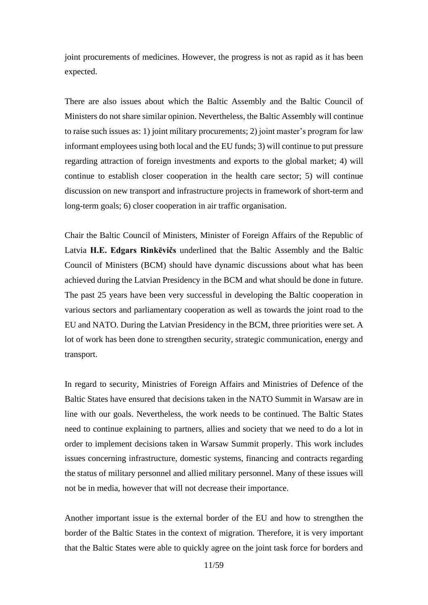joint procurements of medicines. However, the progress is not as rapid as it has been expected.

There are also issues about which the Baltic Assembly and the Baltic Council of Ministers do not share similar opinion. Nevertheless, the Baltic Assembly will continue to raise such issues as: 1) joint military procurements; 2) joint master's program for law informant employees using both local and the EU funds; 3) will continue to put pressure regarding attraction of foreign investments and exports to the global market; 4) will continue to establish closer cooperation in the health care sector; 5) will continue discussion on new transport and infrastructure projects in framework of short-term and long-term goals; 6) closer cooperation in air traffic organisation.

Chair the Baltic Council of Ministers, Minister of Foreign Affairs of the Republic of Latvia **H.E. Edgars Rinkēvičs** underlined that the Baltic Assembly and the Baltic Council of Ministers (BCM) should have dynamic discussions about what has been achieved during the Latvian Presidency in the BCM and what should be done in future. The past 25 years have been very successful in developing the Baltic cooperation in various sectors and parliamentary cooperation as well as towards the joint road to the EU and NATO. During the Latvian Presidency in the BCM, three priorities were set. A lot of work has been done to strengthen security, strategic communication, energy and transport.

In regard to security, Ministries of Foreign Affairs and Ministries of Defence of the Baltic States have ensured that decisions taken in the NATO Summit in Warsaw are in line with our goals. Nevertheless, the work needs to be continued. The Baltic States need to continue explaining to partners, allies and society that we need to do a lot in order to implement decisions taken in Warsaw Summit properly. This work includes issues concerning infrastructure, domestic systems, financing and contracts regarding the status of military personnel and allied military personnel. Many of these issues will not be in media, however that will not decrease their importance.

Another important issue is the external border of the EU and how to strengthen the border of the Baltic States in the context of migration. Therefore, it is very important that the Baltic States were able to quickly agree on the joint task force for borders and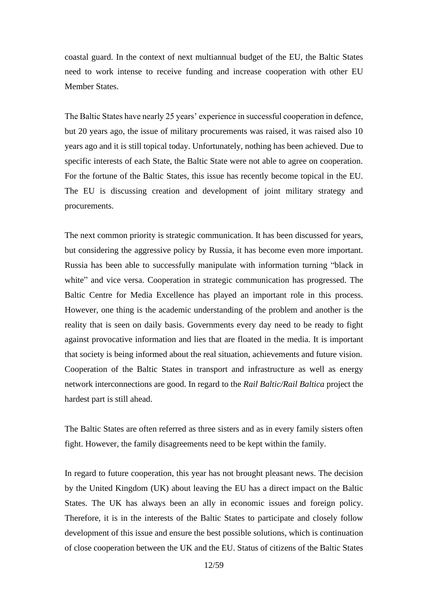coastal guard. In the context of next multiannual budget of the EU, the Baltic States need to work intense to receive funding and increase cooperation with other EU Member States.

The Baltic States have nearly 25 years' experience in successful cooperation in defence, but 20 years ago, the issue of military procurements was raised, it was raised also 10 years ago and it is still topical today. Unfortunately, nothing has been achieved. Due to specific interests of each State, the Baltic State were not able to agree on cooperation. For the fortune of the Baltic States, this issue has recently become topical in the EU. The EU is discussing creation and development of joint military strategy and procurements.

The next common priority is strategic communication. It has been discussed for years, but considering the aggressive policy by Russia, it has become even more important. Russia has been able to successfully manipulate with information turning "black in white" and vice versa. Cooperation in strategic communication has progressed. The Baltic Centre for Media Excellence has played an important role in this process. However, one thing is the academic understanding of the problem and another is the reality that is seen on daily basis. Governments every day need to be ready to fight against provocative information and lies that are floated in the media. It is important that society is being informed about the real situation, achievements and future vision. Cooperation of the Baltic States in transport and infrastructure as well as energy network interconnections are good. In regard to the *Rail Baltic/Rail Baltica* project the hardest part is still ahead.

The Baltic States are often referred as three sisters and as in every family sisters often fight. However, the family disagreements need to be kept within the family.

In regard to future cooperation, this year has not brought pleasant news. The decision by the United Kingdom (UK) about leaving the EU has a direct impact on the Baltic States. The UK has always been an ally in economic issues and foreign policy. Therefore, it is in the interests of the Baltic States to participate and closely follow development of this issue and ensure the best possible solutions, which is continuation of close cooperation between the UK and the EU. Status of citizens of the Baltic States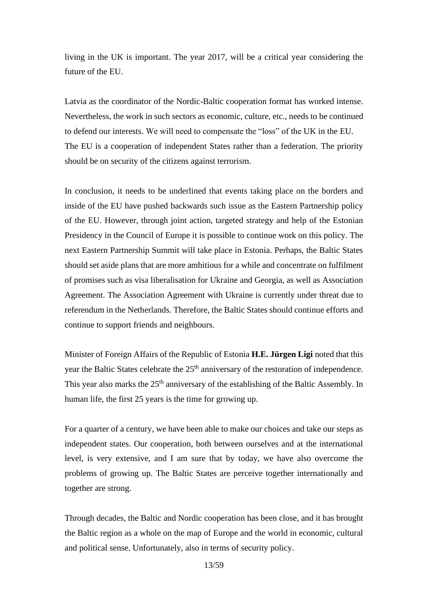living in the UK is important. The year 2017, will be a critical year considering the future of the EU.

Latvia as the coordinator of the Nordic-Baltic cooperation format has worked intense. Nevertheless, the work in such sectors as economic, culture, etc., needs to be continued to defend our interests. We will need to compensate the "loss" of the UK in the EU. The EU is a cooperation of independent States rather than a federation. The priority should be on security of the citizens against terrorism.

In conclusion, it needs to be underlined that events taking place on the borders and inside of the EU have pushed backwards such issue as the Eastern Partnership policy of the EU. However, through joint action, targeted strategy and help of the Estonian Presidency in the Council of Europe it is possible to continue work on this policy. The next Eastern Partnership Summit will take place in Estonia. Perhaps, the Baltic States should set aside plans that are more ambitious for a while and concentrate on fulfilment of promises such as visa liberalisation for Ukraine and Georgia, as well as Association Agreement. The Association Agreement with Ukraine is currently under threat due to referendum in the Netherlands. Therefore, the Baltic States should continue efforts and continue to support friends and neighbours.

Minister of Foreign Affairs of the Republic of Estonia **H.E. Jürgen Ligi** noted that this year the Baltic States celebrate the 25<sup>th</sup> anniversary of the restoration of independence. This year also marks the  $25<sup>th</sup>$  anniversary of the establishing of the Baltic Assembly. In human life, the first 25 years is the time for growing up.

For a quarter of a century, we have been able to make our choices and take our steps as independent states. Our cooperation, both between ourselves and at the international level, is very extensive, and I am sure that by today, we have also overcome the problems of growing up. The Baltic States are perceive together internationally and together are strong.

Through decades, the Baltic and Nordic cooperation has been close, and it has brought the Baltic region as a whole on the map of Europe and the world in economic, cultural and political sense. Unfortunately, also in terms of security policy.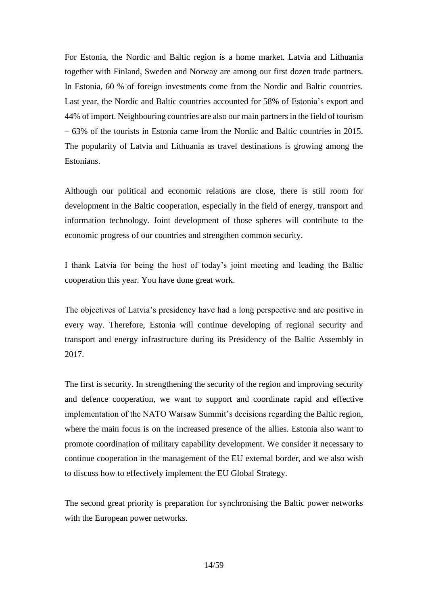For Estonia, the Nordic and Baltic region is a home market. Latvia and Lithuania together with Finland, Sweden and Norway are among our first dozen trade partners. In Estonia, 60 % of foreign investments come from the Nordic and Baltic countries. Last year, the Nordic and Baltic countries accounted for 58% of Estonia's export and 44% of import. Neighbouring countries are also our main partners in the field of tourism – 63% of the tourists in Estonia came from the Nordic and Baltic countries in 2015. The popularity of Latvia and Lithuania as travel destinations is growing among the Estonians.

Although our political and economic relations are close, there is still room for development in the Baltic cooperation, especially in the field of energy, transport and information technology. Joint development of those spheres will contribute to the economic progress of our countries and strengthen common security.

I thank Latvia for being the host of today's joint meeting and leading the Baltic cooperation this year. You have done great work.

The objectives of Latvia's presidency have had a long perspective and are positive in every way. Therefore, Estonia will continue developing of regional security and transport and energy infrastructure during its Presidency of the Baltic Assembly in 2017.

The first is security. In strengthening the security of the region and improving security and defence cooperation, we want to support and coordinate rapid and effective implementation of the NATO Warsaw Summit's decisions regarding the Baltic region, where the main focus is on the increased presence of the allies. Estonia also want to promote coordination of military capability development. We consider it necessary to continue cooperation in the management of the EU external border, and we also wish to discuss how to effectively implement the EU Global Strategy.

The second great priority is preparation for synchronising the Baltic power networks with the European power networks.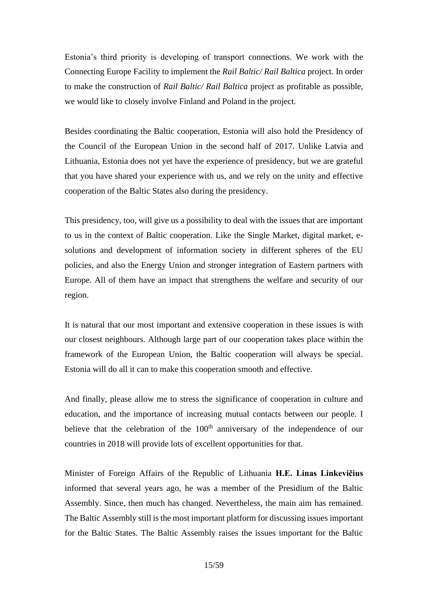Estonia's third priority is developing of transport connections. We work with the Connecting Europe Facility to implement the *Rail Baltic/ Rail Baltica* project. In order to make the construction of *Rail Baltic/ Rail Baltica* project as profitable as possible, we would like to closely involve Finland and Poland in the project.

Besides coordinating the Baltic cooperation, Estonia will also hold the Presidency of the Council of the European Union in the second half of 2017. Unlike Latvia and Lithuania, Estonia does not yet have the experience of presidency, but we are grateful that you have shared your experience with us, and we rely on the unity and effective cooperation of the Baltic States also during the presidency.

This presidency, too, will give us a possibility to deal with the issues that are important to us in the context of Baltic cooperation. Like the Single Market, digital market, esolutions and development of information society in different spheres of the EU policies, and also the Energy Union and stronger integration of Eastern partners with Europe. All of them have an impact that strengthens the welfare and security of our region.

It is natural that our most important and extensive cooperation in these issues is with our closest neighbours. Although large part of our cooperation takes place within the framework of the European Union, the Baltic cooperation will always be special. Estonia will do all it can to make this cooperation smooth and effective.

And finally, please allow me to stress the significance of cooperation in culture and education, and the importance of increasing mutual contacts between our people. I believe that the celebration of the  $100<sup>th</sup>$  anniversary of the independence of our countries in 2018 will provide lots of excellent opportunities for that.

Minister of Foreign Affairs of the Republic of Lithuania **H.E. Linas Linkevičius**  informed that several years ago, he was a member of the Presidium of the Baltic Assembly. Since, then much has changed. Nevertheless, the main aim has remained. The Baltic Assembly still is the most important platform for discussing issues important for the Baltic States. The Baltic Assembly raises the issues important for the Baltic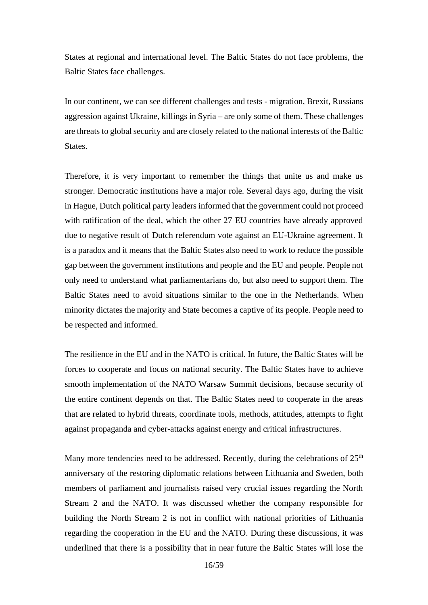States at regional and international level. The Baltic States do not face problems, the Baltic States face challenges.

In our continent, we can see different challenges and tests - migration, Brexit, Russians aggression against Ukraine, killings in Syria – are only some of them. These challenges are threats to global security and are closely related to the national interests of the Baltic States.

Therefore, it is very important to remember the things that unite us and make us stronger. Democratic institutions have a major role. Several days ago, during the visit in Hague, Dutch political party leaders informed that the government could not proceed with ratification of the deal, which the other 27 EU countries have already approved due to negative result of Dutch referendum vote against an EU-Ukraine agreement. It is a paradox and it means that the Baltic States also need to work to reduce the possible gap between the government institutions and people and the EU and people. People not only need to understand what parliamentarians do, but also need to support them. The Baltic States need to avoid situations similar to the one in the Netherlands. When minority dictates the majority and State becomes a captive of its people. People need to be respected and informed.

The resilience in the EU and in the NATO is critical. In future, the Baltic States will be forces to cooperate and focus on national security. The Baltic States have to achieve smooth implementation of the NATO Warsaw Summit decisions, because security of the entire continent depends on that. The Baltic States need to cooperate in the areas that are related to hybrid threats, coordinate tools, methods, attitudes, attempts to fight against propaganda and cyber-attacks against energy and critical infrastructures.

Many more tendencies need to be addressed. Recently, during the celebrations of 25<sup>th</sup> anniversary of the restoring diplomatic relations between Lithuania and Sweden, both members of parliament and journalists raised very crucial issues regarding the North Stream 2 and the NATO. It was discussed whether the company responsible for building the North Stream 2 is not in conflict with national priorities of Lithuania regarding the cooperation in the EU and the NATO. During these discussions, it was underlined that there is a possibility that in near future the Baltic States will lose the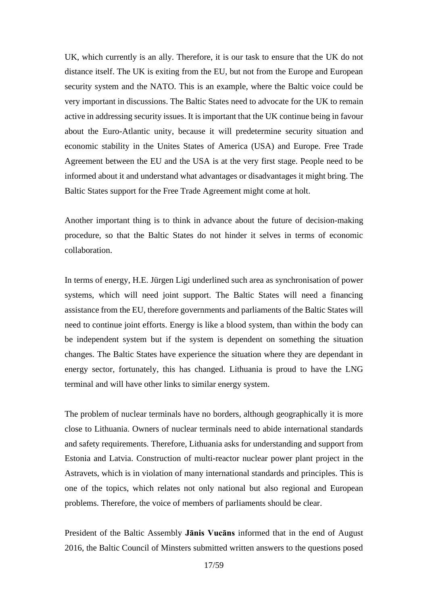UK, which currently is an ally. Therefore, it is our task to ensure that the UK do not distance itself. The UK is exiting from the EU, but not from the Europe and European security system and the NATO. This is an example, where the Baltic voice could be very important in discussions. The Baltic States need to advocate for the UK to remain active in addressing security issues. It is important that the UK continue being in favour about the Euro-Atlantic unity, because it will predetermine security situation and economic stability in the Unites States of America (USA) and Europe. Free Trade Agreement between the EU and the USA is at the very first stage. People need to be informed about it and understand what advantages or disadvantages it might bring. The Baltic States support for the Free Trade Agreement might come at holt.

Another important thing is to think in advance about the future of decision-making procedure, so that the Baltic States do not hinder it selves in terms of economic collaboration.

In terms of energy, H.E. Jürgen Ligi underlined such area as synchronisation of power systems, which will need joint support. The Baltic States will need a financing assistance from the EU, therefore governments and parliaments of the Baltic States will need to continue joint efforts. Energy is like a blood system, than within the body can be independent system but if the system is dependent on something the situation changes. The Baltic States have experience the situation where they are dependant in energy sector, fortunately, this has changed. Lithuania is proud to have the LNG terminal and will have other links to similar energy system.

The problem of nuclear terminals have no borders, although geographically it is more close to Lithuania. Owners of nuclear terminals need to abide international standards and safety requirements. Therefore, Lithuania asks for understanding and support from Estonia and Latvia. Construction of multi-reactor nuclear power plant project in the Astravets, which is in violation of many international standards and principles. This is one of the topics, which relates not only national but also regional and European problems. Therefore, the voice of members of parliaments should be clear.

President of the Baltic Assembly **Jānis Vucāns** informed that in the end of August 2016, the Baltic Council of Minsters submitted written answers to the questions posed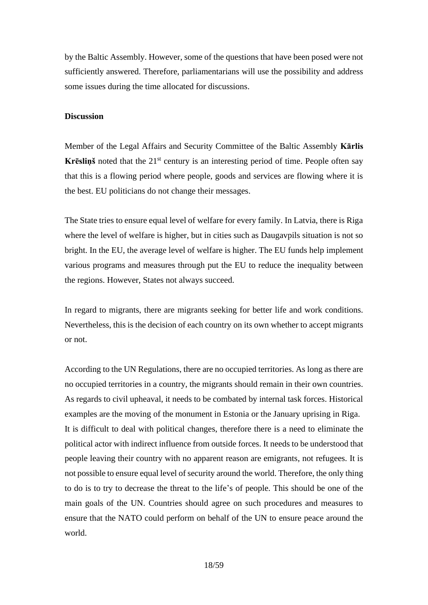by the Baltic Assembly. However, some of the questions that have been posed were not sufficiently answered. Therefore, parliamentarians will use the possibility and address some issues during the time allocated for discussions.

## **Discussion**

Member of the Legal Affairs and Security Committee of the Baltic Assembly **Kārlis Krēsliņš** noted that the 21<sup>st</sup> century is an interesting period of time. People often say that this is a flowing period where people, goods and services are flowing where it is the best. EU politicians do not change their messages.

The State tries to ensure equal level of welfare for every family. In Latvia, there is Riga where the level of welfare is higher, but in cities such as Daugavpils situation is not so bright. In the EU, the average level of welfare is higher. The EU funds help implement various programs and measures through put the EU to reduce the inequality between the regions. However, States not always succeed.

In regard to migrants, there are migrants seeking for better life and work conditions. Nevertheless, this is the decision of each country on its own whether to accept migrants or not.

According to the UN Regulations, there are no occupied territories. As long as there are no occupied territories in a country, the migrants should remain in their own countries. As regards to civil upheaval, it needs to be combated by internal task forces. Historical examples are the moving of the monument in Estonia or the January uprising in Riga. It is difficult to deal with political changes, therefore there is a need to eliminate the political actor with indirect influence from outside forces. It needs to be understood that people leaving their country with no apparent reason are emigrants, not refugees. It is not possible to ensure equal level of security around the world. Therefore, the only thing to do is to try to decrease the threat to the life's of people. This should be one of the main goals of the UN. Countries should agree on such procedures and measures to ensure that the NATO could perform on behalf of the UN to ensure peace around the world.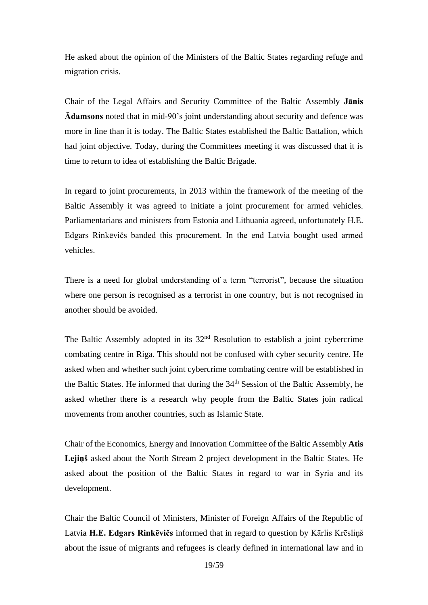He asked about the opinion of the Ministers of the Baltic States regarding refuge and migration crisis.

Chair of the Legal Affairs and Security Committee of the Baltic Assembly **Jānis Ādamsons** noted that in mid-90's joint understanding about security and defence was more in line than it is today. The Baltic States established the Baltic Battalion, which had joint objective. Today, during the Committees meeting it was discussed that it is time to return to idea of establishing the Baltic Brigade.

In regard to joint procurements, in 2013 within the framework of the meeting of the Baltic Assembly it was agreed to initiate a joint procurement for armed vehicles. Parliamentarians and ministers from Estonia and Lithuania agreed, unfortunately H.E. Edgars Rinkēvičs banded this procurement. In the end Latvia bought used armed vehicles.

There is a need for global understanding of a term "terrorist", because the situation where one person is recognised as a terrorist in one country, but is not recognised in another should be avoided.

The Baltic Assembly adopted in its  $32<sup>nd</sup>$  Resolution to establish a joint cybercrime combating centre in Riga. This should not be confused with cyber security centre. He asked when and whether such joint cybercrime combating centre will be established in the Baltic States. He informed that during the 34<sup>th</sup> Session of the Baltic Assembly, he asked whether there is a research why people from the Baltic States join radical movements from another countries, such as Islamic State.

Chair of the Economics, Energy and Innovation Committee of the Baltic Assembly **Atis Lejiņš** asked about the North Stream 2 project development in the Baltic States. He asked about the position of the Baltic States in regard to war in Syria and its development.

Chair the Baltic Council of Ministers, Minister of Foreign Affairs of the Republic of Latvia **H.E. Edgars Rinkēvičs** informed that in regard to question by Kārlis Krēsliņš about the issue of migrants and refugees is clearly defined in international law and in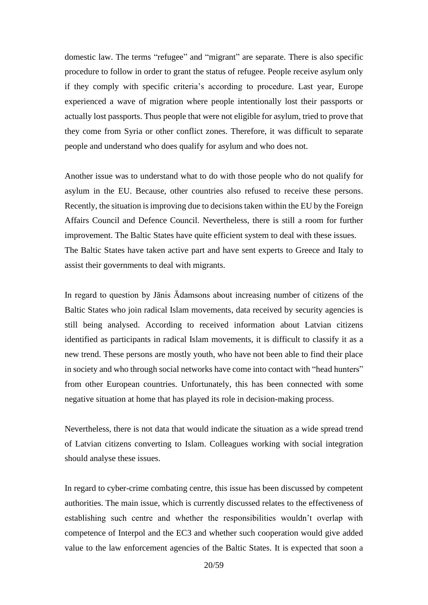domestic law. The terms "refugee" and "migrant" are separate. There is also specific procedure to follow in order to grant the status of refugee. People receive asylum only if they comply with specific criteria's according to procedure. Last year, Europe experienced a wave of migration where people intentionally lost their passports or actually lost passports. Thus people that were not eligible for asylum, tried to prove that they come from Syria or other conflict zones. Therefore, it was difficult to separate people and understand who does qualify for asylum and who does not.

Another issue was to understand what to do with those people who do not qualify for asylum in the EU. Because, other countries also refused to receive these persons. Recently, the situation is improving due to decisions taken within the EU by the Foreign Affairs Council and Defence Council. Nevertheless, there is still a room for further improvement. The Baltic States have quite efficient system to deal with these issues. The Baltic States have taken active part and have sent experts to Greece and Italy to assist their governments to deal with migrants.

In regard to question by Jānis Ādamsons about increasing number of citizens of the Baltic States who join radical Islam movements, data received by security agencies is still being analysed. According to received information about Latvian citizens identified as participants in radical Islam movements, it is difficult to classify it as a new trend. These persons are mostly youth, who have not been able to find their place in society and who through social networks have come into contact with "head hunters" from other European countries. Unfortunately, this has been connected with some negative situation at home that has played its role in decision-making process.

Nevertheless, there is not data that would indicate the situation as a wide spread trend of Latvian citizens converting to Islam. Colleagues working with social integration should analyse these issues.

In regard to cyber-crime combating centre, this issue has been discussed by competent authorities. The main issue, which is currently discussed relates to the effectiveness of establishing such centre and whether the responsibilities wouldn't overlap with competence of Interpol and the EC3 and whether such cooperation would give added value to the law enforcement agencies of the Baltic States. It is expected that soon a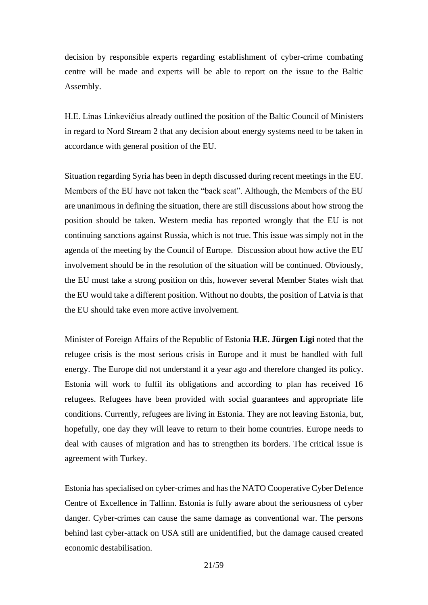decision by responsible experts regarding establishment of cyber-crime combating centre will be made and experts will be able to report on the issue to the Baltic Assembly.

H.E. Linas Linkevičius already outlined the position of the Baltic Council of Ministers in regard to Nord Stream 2 that any decision about energy systems need to be taken in accordance with general position of the EU.

Situation regarding Syria has been in depth discussed during recent meetings in the EU. Members of the EU have not taken the "back seat". Although, the Members of the EU are unanimous in defining the situation, there are still discussions about how strong the position should be taken. Western media has reported wrongly that the EU is not continuing sanctions against Russia, which is not true. This issue was simply not in the agenda of the meeting by the Council of Europe. Discussion about how active the EU involvement should be in the resolution of the situation will be continued. Obviously, the EU must take a strong position on this, however several Member States wish that the EU would take a different position. Without no doubts, the position of Latvia is that the EU should take even more active involvement.

Minister of Foreign Affairs of the Republic of Estonia **H.E. Jürgen Ligi** noted that the refugee crisis is the most serious crisis in Europe and it must be handled with full energy. The Europe did not understand it a year ago and therefore changed its policy. Estonia will work to fulfil its obligations and according to plan has received 16 refugees. Refugees have been provided with social guarantees and appropriate life conditions. Currently, refugees are living in Estonia. They are not leaving Estonia, but, hopefully, one day they will leave to return to their home countries. Europe needs to deal with causes of migration and has to strengthen its borders. The critical issue is agreement with Turkey.

Estonia has specialised on cyber-crimes and has the NATO Cooperative Cyber Defence Centre of Excellence in Tallinn. Estonia is fully aware about the seriousness of cyber danger. Cyber-crimes can cause the same damage as conventional war. The persons behind last cyber-attack on USA still are unidentified, but the damage caused created economic destabilisation.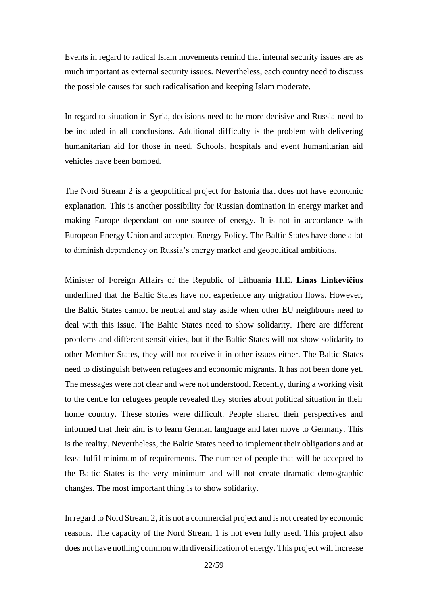Events in regard to radical Islam movements remind that internal security issues are as much important as external security issues. Nevertheless, each country need to discuss the possible causes for such radicalisation and keeping Islam moderate.

In regard to situation in Syria, decisions need to be more decisive and Russia need to be included in all conclusions. Additional difficulty is the problem with delivering humanitarian aid for those in need. Schools, hospitals and event humanitarian aid vehicles have been bombed.

The Nord Stream 2 is a geopolitical project for Estonia that does not have economic explanation. This is another possibility for Russian domination in energy market and making Europe dependant on one source of energy. It is not in accordance with European Energy Union and accepted Energy Policy. The Baltic States have done a lot to diminish dependency on Russia's energy market and geopolitical ambitions.

Minister of Foreign Affairs of the Republic of Lithuania **H.E. Linas Linkevičius**  underlined that the Baltic States have not experience any migration flows. However, the Baltic States cannot be neutral and stay aside when other EU neighbours need to deal with this issue. The Baltic States need to show solidarity. There are different problems and different sensitivities, but if the Baltic States will not show solidarity to other Member States, they will not receive it in other issues either. The Baltic States need to distinguish between refugees and economic migrants. It has not been done yet. The messages were not clear and were not understood. Recently, during a working visit to the centre for refugees people revealed they stories about political situation in their home country. These stories were difficult. People shared their perspectives and informed that their aim is to learn German language and later move to Germany. This is the reality. Nevertheless, the Baltic States need to implement their obligations and at least fulfil minimum of requirements. The number of people that will be accepted to the Baltic States is the very minimum and will not create dramatic demographic changes. The most important thing is to show solidarity.

In regard to Nord Stream 2, it is not a commercial project and is not created by economic reasons. The capacity of the Nord Stream 1 is not even fully used. This project also does not have nothing common with diversification of energy. This project will increase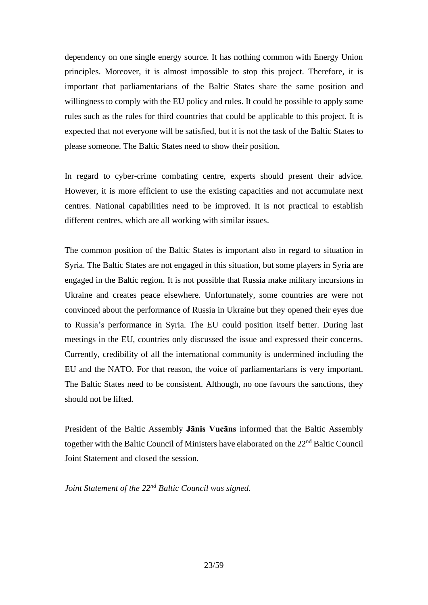dependency on one single energy source. It has nothing common with Energy Union principles. Moreover, it is almost impossible to stop this project. Therefore, it is important that parliamentarians of the Baltic States share the same position and willingness to comply with the EU policy and rules. It could be possible to apply some rules such as the rules for third countries that could be applicable to this project. It is expected that not everyone will be satisfied, but it is not the task of the Baltic States to please someone. The Baltic States need to show their position.

In regard to cyber-crime combating centre, experts should present their advice. However, it is more efficient to use the existing capacities and not accumulate next centres. National capabilities need to be improved. It is not practical to establish different centres, which are all working with similar issues.

The common position of the Baltic States is important also in regard to situation in Syria. The Baltic States are not engaged in this situation, but some players in Syria are engaged in the Baltic region. It is not possible that Russia make military incursions in Ukraine and creates peace elsewhere. Unfortunately, some countries are were not convinced about the performance of Russia in Ukraine but they opened their eyes due to Russia's performance in Syria. The EU could position itself better. During last meetings in the EU, countries only discussed the issue and expressed their concerns. Currently, credibility of all the international community is undermined including the EU and the NATO. For that reason, the voice of parliamentarians is very important. The Baltic States need to be consistent. Although, no one favours the sanctions, they should not be lifted.

President of the Baltic Assembly **Jānis Vucāns** informed that the Baltic Assembly together with the Baltic Council of Ministers have elaborated on the 22<sup>nd</sup> Baltic Council Joint Statement and closed the session.

*Joint Statement of the 22nd Baltic Council was signed.*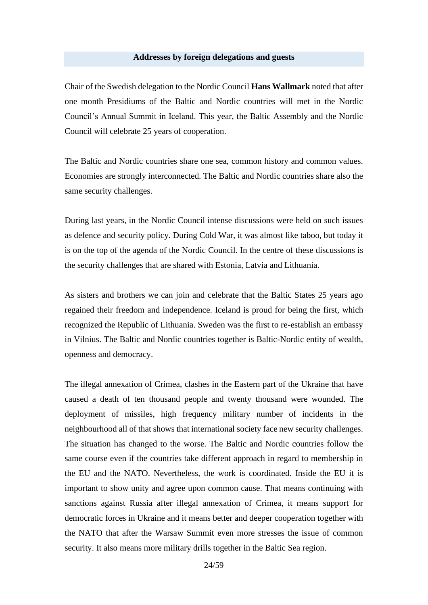#### **Addresses by foreign delegations and guests**

Chair of the Swedish delegation to the Nordic Council **Hans Wallmark** noted that after one month Presidiums of the Baltic and Nordic countries will met in the Nordic Council's Annual Summit in Iceland. This year, the Baltic Assembly and the Nordic Council will celebrate 25 years of cooperation.

The Baltic and Nordic countries share one sea, common history and common values. Economies are strongly interconnected. The Baltic and Nordic countries share also the same security challenges.

During last years, in the Nordic Council intense discussions were held on such issues as defence and security policy. During Cold War, it was almost like taboo, but today it is on the top of the agenda of the Nordic Council. In the centre of these discussions is the security challenges that are shared with Estonia, Latvia and Lithuania.

As sisters and brothers we can join and celebrate that the Baltic States 25 years ago regained their freedom and independence. Iceland is proud for being the first, which recognized the Republic of Lithuania. Sweden was the first to re-establish an embassy in Vilnius. The Baltic and Nordic countries together is Baltic-Nordic entity of wealth, openness and democracy.

The illegal annexation of Crimea, clashes in the Eastern part of the Ukraine that have caused a death of ten thousand people and twenty thousand were wounded. The deployment of missiles, high frequency military number of incidents in the neighbourhood all of that shows that international society face new security challenges. The situation has changed to the worse. The Baltic and Nordic countries follow the same course even if the countries take different approach in regard to membership in the EU and the NATO. Nevertheless, the work is coordinated. Inside the EU it is important to show unity and agree upon common cause. That means continuing with sanctions against Russia after illegal annexation of Crimea, it means support for democratic forces in Ukraine and it means better and deeper cooperation together with the NATO that after the Warsaw Summit even more stresses the issue of common security. It also means more military drills together in the Baltic Sea region.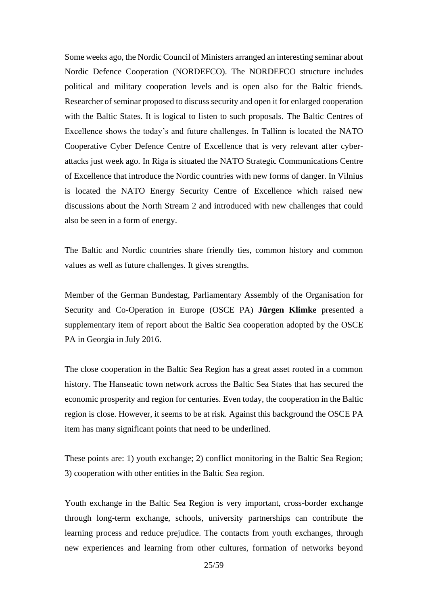Some weeks ago, the Nordic Council of Ministers arranged an interesting seminar about Nordic Defence Cooperation (NORDEFCO). The NORDEFCO structure includes political and military cooperation levels and is open also for the Baltic friends. Researcher of seminar proposed to discuss security and open it for enlarged cooperation with the Baltic States. It is logical to listen to such proposals. The Baltic Centres of Excellence shows the today's and future challenges. In Tallinn is located the NATO Cooperative Cyber Defence Centre of Excellence that is very relevant after cyberattacks just week ago. In Riga is situated the NATO Strategic Communications Centre of Excellence that introduce the Nordic countries with new forms of danger. In Vilnius is located the NATO Energy Security Centre of Excellence which raised new discussions about the North Stream 2 and introduced with new challenges that could also be seen in a form of energy.

The Baltic and Nordic countries share friendly ties, common history and common values as well as future challenges. It gives strengths.

Member of the German Bundestag, Parliamentary Assembly of the Organisation for Security and Co-Operation in Europe (OSCE PA) **Jürgen Klimke** presented a supplementary item of report about the Baltic Sea cooperation adopted by the OSCE PA in Georgia in July 2016.

The close cooperation in the Baltic Sea Region has a great asset rooted in a common history. The Hanseatic town network across the Baltic Sea States that has secured the economic prosperity and region for centuries. Even today, the cooperation in the Baltic region is close. However, it seems to be at risk. Against this background the OSCE PA item has many significant points that need to be underlined.

These points are: 1) youth exchange; 2) conflict monitoring in the Baltic Sea Region; 3) cooperation with other entities in the Baltic Sea region.

Youth exchange in the Baltic Sea Region is very important, cross-border exchange through long-term exchange, schools, university partnerships can contribute the learning process and reduce prejudice. The contacts from youth exchanges, through new experiences and learning from other cultures, formation of networks beyond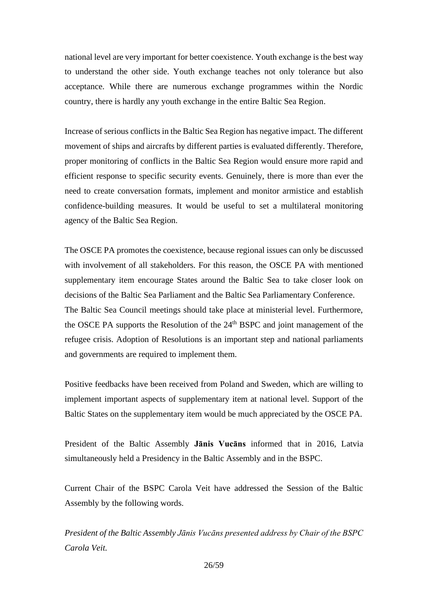national level are very important for better coexistence. Youth exchange is the best way to understand the other side. Youth exchange teaches not only tolerance but also acceptance. While there are numerous exchange programmes within the Nordic country, there is hardly any youth exchange in the entire Baltic Sea Region.

Increase of serious conflicts in the Baltic Sea Region has negative impact. The different movement of ships and aircrafts by different parties is evaluated differently. Therefore, proper monitoring of conflicts in the Baltic Sea Region would ensure more rapid and efficient response to specific security events. Genuinely, there is more than ever the need to create conversation formats, implement and monitor armistice and establish confidence-building measures. It would be useful to set a multilateral monitoring agency of the Baltic Sea Region.

The OSCE PA promotes the coexistence, because regional issues can only be discussed with involvement of all stakeholders. For this reason, the OSCE PA with mentioned supplementary item encourage States around the Baltic Sea to take closer look on decisions of the Baltic Sea Parliament and the Baltic Sea Parliamentary Conference. The Baltic Sea Council meetings should take place at ministerial level. Furthermore, the OSCE PA supports the Resolution of the  $24<sup>th</sup>$  BSPC and joint management of the refugee crisis. Adoption of Resolutions is an important step and national parliaments and governments are required to implement them.

Positive feedbacks have been received from Poland and Sweden, which are willing to implement important aspects of supplementary item at national level. Support of the Baltic States on the supplementary item would be much appreciated by the OSCE PA.

President of the Baltic Assembly **Jānis Vucāns** informed that in 2016, Latvia simultaneously held a Presidency in the Baltic Assembly and in the BSPC.

Current Chair of the BSPC Carola Veit have addressed the Session of the Baltic Assembly by the following words.

*President of the Baltic Assembly Jānis Vucāns presented address by Chair of the BSPC Carola Veit.*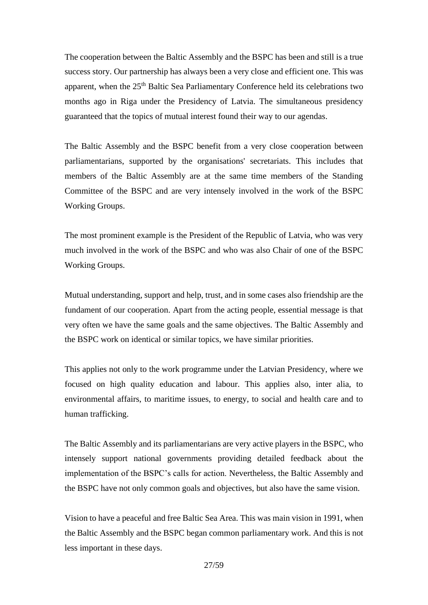The cooperation between the Baltic Assembly and the BSPC has been and still is a true success story. Our partnership has always been a very close and efficient one. This was apparent, when the 25<sup>th</sup> Baltic Sea Parliamentary Conference held its celebrations two months ago in Riga under the Presidency of Latvia. The simultaneous presidency guaranteed that the topics of mutual interest found their way to our agendas.

The Baltic Assembly and the BSPC benefit from a very close cooperation between parliamentarians, supported by the organisations' secretariats. This includes that members of the Baltic Assembly are at the same time members of the Standing Committee of the BSPC and are very intensely involved in the work of the BSPC Working Groups.

The most prominent example is the President of the Republic of Latvia, who was very much involved in the work of the BSPC and who was also Chair of one of the BSPC Working Groups.

Mutual understanding, support and help, trust, and in some cases also friendship are the fundament of our cooperation. Apart from the acting people, essential message is that very often we have the same goals and the same objectives. The Baltic Assembly and the BSPC work on identical or similar topics, we have similar priorities.

This applies not only to the work programme under the Latvian Presidency, where we focused on high quality education and labour. This applies also, inter alia, to environmental affairs, to maritime issues, to energy, to social and health care and to human trafficking.

The Baltic Assembly and its parliamentarians are very active players in the BSPC, who intensely support national governments providing detailed feedback about the implementation of the BSPC's calls for action. Nevertheless, the Baltic Assembly and the BSPC have not only common goals and objectives, but also have the same vision.

Vision to have a peaceful and free Baltic Sea Area. This was main vision in 1991, when the Baltic Assembly and the BSPC began common parliamentary work. And this is not less important in these days.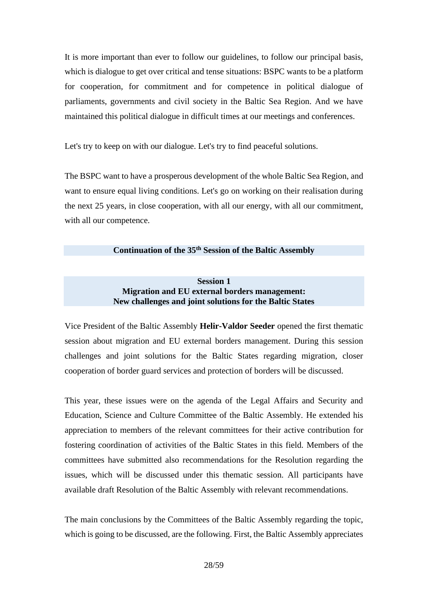It is more important than ever to follow our guidelines, to follow our principal basis, which is dialogue to get over critical and tense situations: BSPC wants to be a platform for cooperation, for commitment and for competence in political dialogue of parliaments, governments and civil society in the Baltic Sea Region. And we have maintained this political dialogue in difficult times at our meetings and conferences.

Let's try to keep on with our dialogue. Let's try to find peaceful solutions.

The BSPC want to have a prosperous development of the whole Baltic Sea Region, and want to ensure equal living conditions. Let's go on working on their realisation during the next 25 years, in close cooperation, with all our energy, with all our commitment, with all our competence.

# **Continuation of the 35th Session of the Baltic Assembly**

# **Session 1 Migration and EU external borders management: New challenges and joint solutions for the Baltic States**

Vice President of the Baltic Assembly **Helir-Valdor Seeder** opened the first thematic session about migration and EU external borders management. During this session challenges and joint solutions for the Baltic States regarding migration, closer cooperation of border guard services and protection of borders will be discussed.

This year, these issues were on the agenda of the Legal Affairs and Security and Education, Science and Culture Committee of the Baltic Assembly. He extended his appreciation to members of the relevant committees for their active contribution for fostering coordination of activities of the Baltic States in this field. Members of the committees have submitted also recommendations for the Resolution regarding the issues, which will be discussed under this thematic session. All participants have available draft Resolution of the Baltic Assembly with relevant recommendations.

The main conclusions by the Committees of the Baltic Assembly regarding the topic, which is going to be discussed, are the following. First, the Baltic Assembly appreciates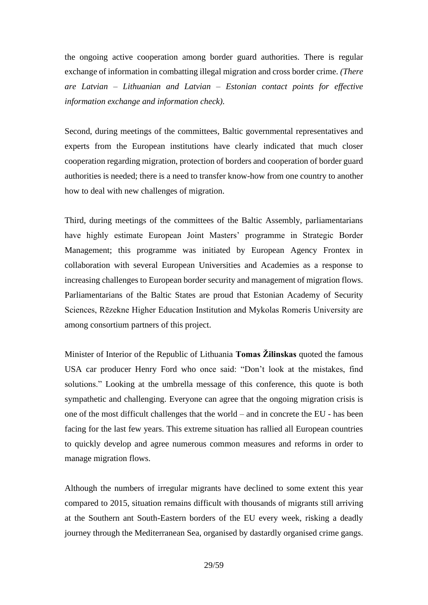the ongoing active cooperation among border guard authorities. There is regular exchange of information in combatting illegal migration and cross border crime. *(There are Latvian – Lithuanian and Latvian – Estonian contact points for effective information exchange and information check).*

Second, during meetings of the committees, Baltic governmental representatives and experts from the European institutions have clearly indicated that much closer cooperation regarding migration, protection of borders and cooperation of border guard authorities is needed; there is a need to transfer know-how from one country to another how to deal with new challenges of migration.

Third, during meetings of the committees of the Baltic Assembly, parliamentarians have highly estimate European Joint Masters' programme in Strategic Border Management; this programme was initiated by European Agency Frontex in collaboration with several European Universities and Academies as a response to increasing challenges to European border security and management of migration flows. Parliamentarians of the Baltic States are proud that Estonian Academy of Security Sciences, Rēzekne Higher Education Institution and Mykolas Romeris University are among consortium partners of this project.

Minister of Interior of the Republic of Lithuania **Tomas Žilinskas** quoted the famous USA car producer Henry Ford who once said: "Don't look at the mistakes, find solutions." Looking at the umbrella message of this conference, this quote is both sympathetic and challenging. Everyone can agree that the ongoing migration crisis is one of the most difficult challenges that the world – and in concrete the EU - has been facing for the last few years. This extreme situation has rallied all European countries to quickly develop and agree numerous common measures and reforms in order to manage migration flows.

Although the numbers of irregular migrants have declined to some extent this year compared to 2015, situation remains difficult with thousands of migrants still arriving at the Southern ant South-Eastern borders of the EU every week, risking a deadly journey through the Mediterranean Sea, organised by dastardly organised crime gangs.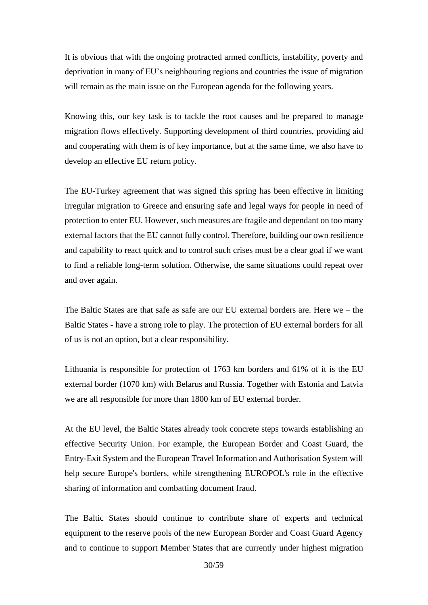It is obvious that with the ongoing protracted armed conflicts, instability, poverty and deprivation in many of EU's neighbouring regions and countries the issue of migration will remain as the main issue on the European agenda for the following years.

Knowing this, our key task is to tackle the root causes and be prepared to manage migration flows effectively. Supporting development of third countries, providing aid and cooperating with them is of key importance, but at the same time, we also have to develop an effective EU return policy.

The EU-Turkey agreement that was signed this spring has been effective in limiting irregular migration to Greece and ensuring safe and legal ways for people in need of protection to enter EU. However, such measures are fragile and dependant on too many external factors that the EU cannot fully control. Therefore, building our own resilience and capability to react quick and to control such crises must be a clear goal if we want to find a reliable long-term solution. Otherwise, the same situations could repeat over and over again.

The Baltic States are that safe as safe are our EU external borders are. Here we – the Baltic States - have a strong role to play. The protection of EU external borders for all of us is not an option, but a clear responsibility.

Lithuania is responsible for protection of 1763 km borders and 61% of it is the EU external border (1070 km) with Belarus and Russia. Together with Estonia and Latvia we are all responsible for more than 1800 km of EU external border.

At the EU level, the Baltic States already took concrete steps towards establishing an effective Security Union. For example, the European Border and Coast Guard, the Entry-Exit System and the European Travel Information and Authorisation System will help secure Europe's borders, while strengthening EUROPOL's role in the effective sharing of information and combatting document fraud.

The Baltic States should continue to contribute share of experts and technical equipment to the reserve pools of the new European Border and Coast Guard Agency and to continue to support Member States that are currently under highest migration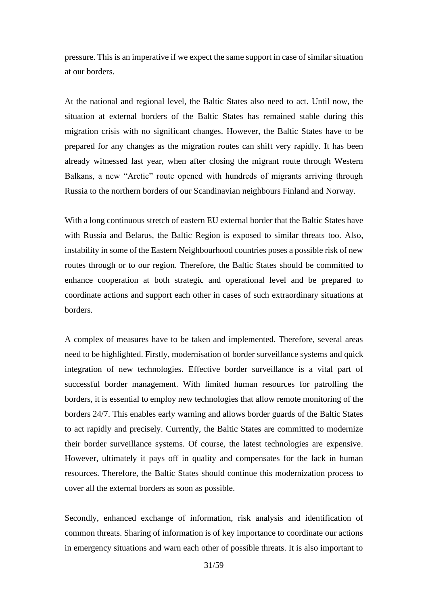pressure. This is an imperative if we expect the same support in case of similar situation at our borders.

At the national and regional level, the Baltic States also need to act. Until now, the situation at external borders of the Baltic States has remained stable during this migration crisis with no significant changes. However, the Baltic States have to be prepared for any changes as the migration routes can shift very rapidly. It has been already witnessed last year, when after closing the migrant route through Western Balkans, a new "Arctic" route opened with hundreds of migrants arriving through Russia to the northern borders of our Scandinavian neighbours Finland and Norway.

With a long continuous stretch of eastern EU external border that the Baltic States have with Russia and Belarus, the Baltic Region is exposed to similar threats too. Also, instability in some of the Eastern Neighbourhood countries poses a possible risk of new routes through or to our region. Therefore, the Baltic States should be committed to enhance cooperation at both strategic and operational level and be prepared to coordinate actions and support each other in cases of such extraordinary situations at borders.

A complex of measures have to be taken and implemented. Therefore, several areas need to be highlighted. Firstly, modernisation of border surveillance systems and quick integration of new technologies. Effective border surveillance is a vital part of successful border management. With limited human resources for patrolling the borders, it is essential to employ new technologies that allow remote monitoring of the borders 24/7. This enables early warning and allows border guards of the Baltic States to act rapidly and precisely. Currently, the Baltic States are committed to modernize their border surveillance systems. Of course, the latest technologies are expensive. However, ultimately it pays off in quality and compensates for the lack in human resources. Therefore, the Baltic States should continue this modernization process to cover all the external borders as soon as possible.

Secondly, enhanced exchange of information, risk analysis and identification of common threats. Sharing of information is of key importance to coordinate our actions in emergency situations and warn each other of possible threats. It is also important to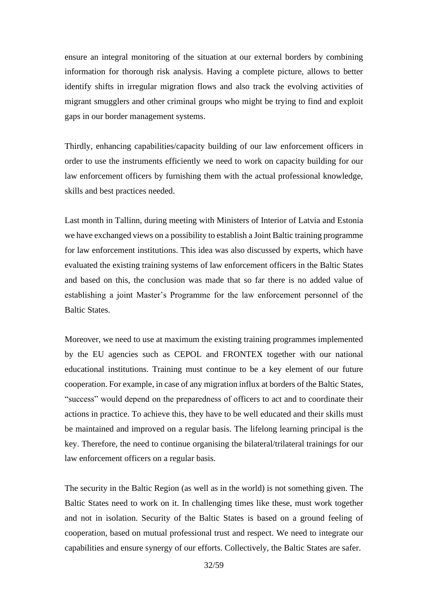ensure an integral monitoring of the situation at our external borders by combining information for thorough risk analysis. Having a complete picture, allows to better identify shifts in irregular migration flows and also track the evolving activities of migrant smugglers and other criminal groups who might be trying to find and exploit gaps in our border management systems.

Thirdly, enhancing capabilities/capacity building of our law enforcement officers in order to use the instruments efficiently we need to work on capacity building for our law enforcement officers by furnishing them with the actual professional knowledge, skills and best practices needed.

Last month in Tallinn, during meeting with Ministers of Interior of Latvia and Estonia we have exchanged views on a possibility to establish a Joint Baltic training programme for law enforcement institutions. This idea was also discussed by experts, which have evaluated the existing training systems of law enforcement officers in the Baltic States and based on this, the conclusion was made that so far there is no added value of establishing a joint Master's Programme for the law enforcement personnel of the Baltic States.

Moreover, we need to use at maximum the existing training programmes implemented by the EU agencies such as CEPOL and FRONTEX together with our national educational institutions. Training must continue to be a key element of our future cooperation. For example, in case of any migration influx at borders of the Baltic States, "success" would depend on the preparedness of officers to act and to coordinate their actions in practice. To achieve this, they have to be well educated and their skills must be maintained and improved on a regular basis. The lifelong learning principal is the key. Therefore, the need to continue organising the bilateral/trilateral trainings for our law enforcement officers on a regular basis.

The security in the Baltic Region (as well as in the world) is not something given. The Baltic States need to work on it. In challenging times like these, must work together and not in isolation. Security of the Baltic States is based on a ground feeling of cooperation, based on mutual professional trust and respect. We need to integrate our capabilities and ensure synergy of our efforts. Collectively, the Baltic States are safer.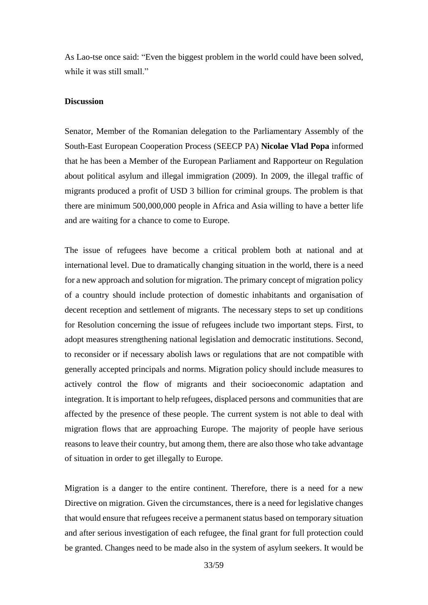As Lao-tse once said: "Even the biggest problem in the world could have been solved, while it was still small."

# **Discussion**

Senator, Member of the Romanian delegation to the Parliamentary Assembly of the South-East European Cooperation Process (SEECP PA) **Nicolae Vlad Popa** informed that he has been a Member of the European Parliament and Rapporteur on Regulation about political asylum and illegal immigration (2009). In 2009, the illegal traffic of migrants produced a profit of USD 3 billion for criminal groups. The problem is that there are minimum 500,000,000 people in Africa and Asia willing to have a better life and are waiting for a chance to come to Europe.

The issue of refugees have become a critical problem both at national and at international level. Due to dramatically changing situation in the world, there is a need for a new approach and solution for migration. The primary concept of migration policy of a country should include protection of domestic inhabitants and organisation of decent reception and settlement of migrants. The necessary steps to set up conditions for Resolution concerning the issue of refugees include two important steps. First, to adopt measures strengthening national legislation and democratic institutions. Second, to reconsider or if necessary abolish laws or regulations that are not compatible with generally accepted principals and norms. Migration policy should include measures to actively control the flow of migrants and their socioeconomic adaptation and integration. It is important to help refugees, displaced persons and communities that are affected by the presence of these people. The current system is not able to deal with migration flows that are approaching Europe. The majority of people have serious reasons to leave their country, but among them, there are also those who take advantage of situation in order to get illegally to Europe.

Migration is a danger to the entire continent. Therefore, there is a need for a new Directive on migration. Given the circumstances, there is a need for legislative changes that would ensure that refugees receive a permanent status based on temporary situation and after serious investigation of each refugee, the final grant for full protection could be granted. Changes need to be made also in the system of asylum seekers. It would be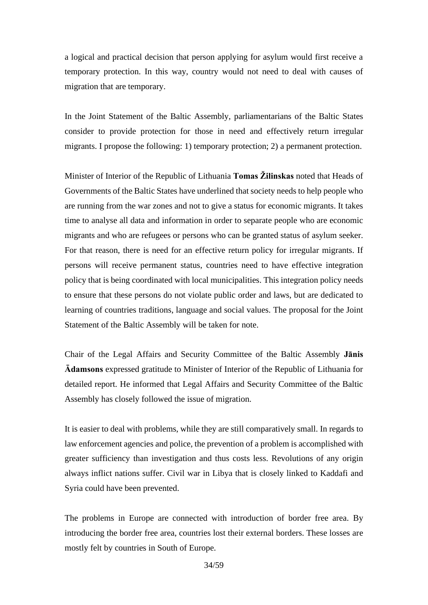a logical and practical decision that person applying for asylum would first receive a temporary protection. In this way, country would not need to deal with causes of migration that are temporary.

In the Joint Statement of the Baltic Assembly, parliamentarians of the Baltic States consider to provide protection for those in need and effectively return irregular migrants. I propose the following: 1) temporary protection; 2) a permanent protection.

Minister of Interior of the Republic of Lithuania **Tomas Žilinskas** noted that Heads of Governments of the Baltic States have underlined that society needs to help people who are running from the war zones and not to give a status for economic migrants. It takes time to analyse all data and information in order to separate people who are economic migrants and who are refugees or persons who can be granted status of asylum seeker. For that reason, there is need for an effective return policy for irregular migrants. If persons will receive permanent status, countries need to have effective integration policy that is being coordinated with local municipalities. This integration policy needs to ensure that these persons do not violate public order and laws, but are dedicated to learning of countries traditions, language and social values. The proposal for the Joint Statement of the Baltic Assembly will be taken for note.

Chair of the Legal Affairs and Security Committee of the Baltic Assembly **Jānis Ādamsons** expressed gratitude to Minister of Interior of the Republic of Lithuania for detailed report. He informed that Legal Affairs and Security Committee of the Baltic Assembly has closely followed the issue of migration.

It is easier to deal with problems, while they are still comparatively small. In regards to law enforcement agencies and police, the prevention of a problem is accomplished with greater sufficiency than investigation and thus costs less. Revolutions of any origin always inflict nations suffer. Civil war in Libya that is closely linked to Kaddafi and Syria could have been prevented.

The problems in Europe are connected with introduction of border free area. By introducing the border free area, countries lost their external borders. These losses are mostly felt by countries in South of Europe.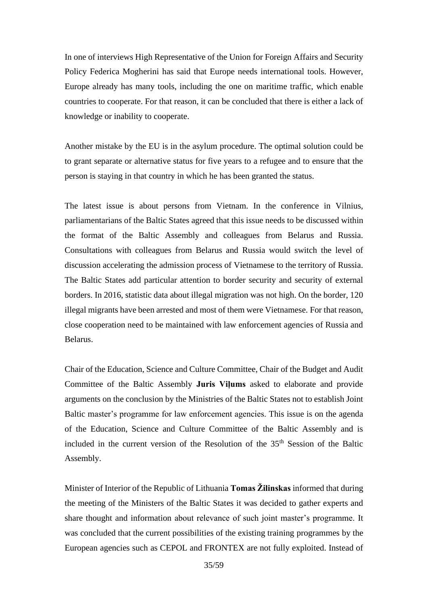In one of interviews High Representative of the Union for Foreign Affairs and Security Policy Federica Mogherini has said that Europe needs international tools. However, Europe already has many tools, including the one on maritime traffic, which enable countries to cooperate. For that reason, it can be concluded that there is either a lack of knowledge or inability to cooperate.

Another mistake by the EU is in the asylum procedure. The optimal solution could be to grant separate or alternative status for five years to a refugee and to ensure that the person is staying in that country in which he has been granted the status.

The latest issue is about persons from Vietnam. In the conference in Vilnius, parliamentarians of the Baltic States agreed that this issue needs to be discussed within the format of the Baltic Assembly and colleagues from Belarus and Russia. Consultations with colleagues from Belarus and Russia would switch the level of discussion accelerating the admission process of Vietnamese to the territory of Russia. The Baltic States add particular attention to border security and security of external borders. In 2016, statistic data about illegal migration was not high. On the border, 120 illegal migrants have been arrested and most of them were Vietnamese. For that reason, close cooperation need to be maintained with law enforcement agencies of Russia and Belarus.

Chair of the Education, Science and Culture Committee, Chair of the Budget and Audit Committee of the Baltic Assembly **Juris Viļums** asked to elaborate and provide arguments on the conclusion by the Ministries of the Baltic States not to establish Joint Baltic master's programme for law enforcement agencies. This issue is on the agenda of the Education, Science and Culture Committee of the Baltic Assembly and is included in the current version of the Resolution of the 35<sup>th</sup> Session of the Baltic Assembly.

Minister of Interior of the Republic of Lithuania **Tomas Žilinskas** informed that during the meeting of the Ministers of the Baltic States it was decided to gather experts and share thought and information about relevance of such joint master's programme. It was concluded that the current possibilities of the existing training programmes by the European agencies such as CEPOL and FRONTEX are not fully exploited. Instead of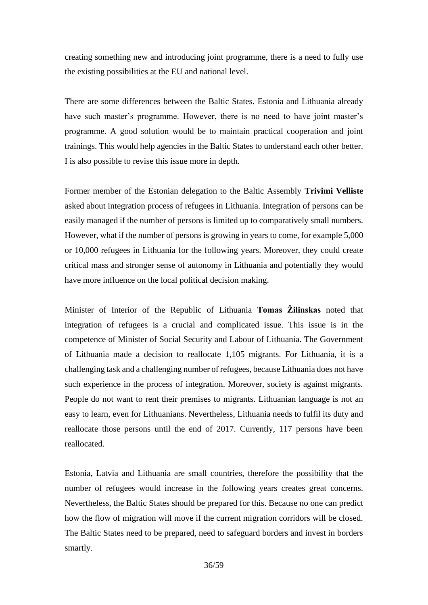creating something new and introducing joint programme, there is a need to fully use the existing possibilities at the EU and national level.

There are some differences between the Baltic States. Estonia and Lithuania already have such master's programme. However, there is no need to have joint master's programme. A good solution would be to maintain practical cooperation and joint trainings. This would help agencies in the Baltic States to understand each other better. I is also possible to revise this issue more in depth.

Former member of the Estonian delegation to the Baltic Assembly **Trivimi Velliste** asked about integration process of refugees in Lithuania. Integration of persons can be easily managed if the number of persons is limited up to comparatively small numbers. However, what if the number of persons is growing in years to come, for example 5,000 or 10,000 refugees in Lithuania for the following years. Moreover, they could create critical mass and stronger sense of autonomy in Lithuania and potentially they would have more influence on the local political decision making.

Minister of Interior of the Republic of Lithuania **Tomas Žilinskas** noted that integration of refugees is a crucial and complicated issue. This issue is in the competence of Minister of Social Security and Labour of Lithuania. The Government of Lithuania made a decision to reallocate 1,105 migrants. For Lithuania, it is a challenging task and a challenging number of refugees, because Lithuania does not have such experience in the process of integration. Moreover, society is against migrants. People do not want to rent their premises to migrants. Lithuanian language is not an easy to learn, even for Lithuanians. Nevertheless, Lithuania needs to fulfil its duty and reallocate those persons until the end of 2017. Currently, 117 persons have been reallocated.

Estonia, Latvia and Lithuania are small countries, therefore the possibility that the number of refugees would increase in the following years creates great concerns. Nevertheless, the Baltic States should be prepared for this. Because no one can predict how the flow of migration will move if the current migration corridors will be closed. The Baltic States need to be prepared, need to safeguard borders and invest in borders smartly.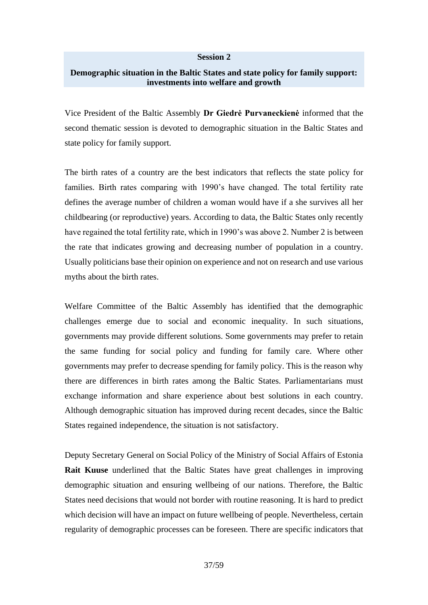#### **Session 2**

#### **Demographic situation in the Baltic States and state policy for family support: investments into welfare and growth**

Vice President of the Baltic Assembly **Dr Giedrė Purvaneckienė** informed that the second thematic session is devoted to demographic situation in the Baltic States and state policy for family support.

The birth rates of a country are the best indicators that reflects the state policy for families. Birth rates comparing with 1990's have changed. The total fertility rate defines the average number of children a woman would have if a she survives all her childbearing (or reproductive) years. According to data, the Baltic States only recently have regained the total fertility rate, which in 1990's was above 2. Number 2 is between the rate that indicates growing and decreasing number of population in a country. Usually politicians base their opinion on experience and not on research and use various myths about the birth rates.

Welfare Committee of the Baltic Assembly has identified that the demographic challenges emerge due to social and economic inequality. In such situations, governments may provide different solutions. Some governments may prefer to retain the same funding for social policy and funding for family care. Where other governments may prefer to decrease spending for family policy. This is the reason why there are differences in birth rates among the Baltic States. Parliamentarians must exchange information and share experience about best solutions in each country. Although demographic situation has improved during recent decades, since the Baltic States regained independence, the situation is not satisfactory.

Deputy Secretary General on Social Policy of the Ministry of Social Affairs of Estonia **Rait Kuuse** underlined that the Baltic States have great challenges in improving demographic situation and ensuring wellbeing of our nations. Therefore, the Baltic States need decisions that would not border with routine reasoning. It is hard to predict which decision will have an impact on future wellbeing of people. Nevertheless, certain regularity of demographic processes can be foreseen. There are specific indicators that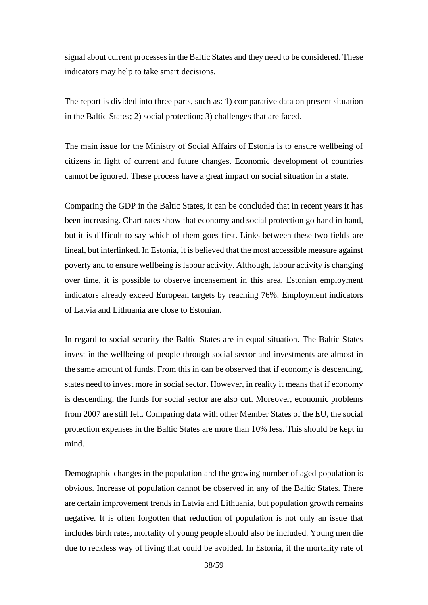signal about current processes in the Baltic States and they need to be considered. These indicators may help to take smart decisions.

The report is divided into three parts, such as: 1) comparative data on present situation in the Baltic States; 2) social protection; 3) challenges that are faced.

The main issue for the Ministry of Social Affairs of Estonia is to ensure wellbeing of citizens in light of current and future changes. Economic development of countries cannot be ignored. These process have a great impact on social situation in a state.

Comparing the GDP in the Baltic States, it can be concluded that in recent years it has been increasing. Chart rates show that economy and social protection go hand in hand, but it is difficult to say which of them goes first. Links between these two fields are lineal, but interlinked. In Estonia, it is believed that the most accessible measure against poverty and to ensure wellbeing is labour activity. Although, labour activity is changing over time, it is possible to observe incensement in this area. Estonian employment indicators already exceed European targets by reaching 76%. Employment indicators of Latvia and Lithuania are close to Estonian.

In regard to social security the Baltic States are in equal situation. The Baltic States invest in the wellbeing of people through social sector and investments are almost in the same amount of funds. From this in can be observed that if economy is descending, states need to invest more in social sector. However, in reality it means that if economy is descending, the funds for social sector are also cut. Moreover, economic problems from 2007 are still felt. Comparing data with other Member States of the EU, the social protection expenses in the Baltic States are more than 10% less. This should be kept in mind.

Demographic changes in the population and the growing number of aged population is obvious. Increase of population cannot be observed in any of the Baltic States. There are certain improvement trends in Latvia and Lithuania, but population growth remains negative. It is often forgotten that reduction of population is not only an issue that includes birth rates, mortality of young people should also be included. Young men die due to reckless way of living that could be avoided. In Estonia, if the mortality rate of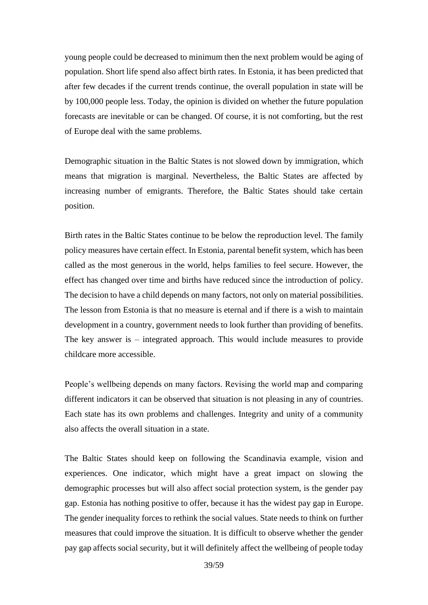young people could be decreased to minimum then the next problem would be aging of population. Short life spend also affect birth rates. In Estonia, it has been predicted that after few decades if the current trends continue, the overall population in state will be by 100,000 people less. Today, the opinion is divided on whether the future population forecasts are inevitable or can be changed. Of course, it is not comforting, but the rest of Europe deal with the same problems.

Demographic situation in the Baltic States is not slowed down by immigration, which means that migration is marginal. Nevertheless, the Baltic States are affected by increasing number of emigrants. Therefore, the Baltic States should take certain position.

Birth rates in the Baltic States continue to be below the reproduction level. The family policy measures have certain effect. In Estonia, parental benefit system, which has been called as the most generous in the world, helps families to feel secure. However, the effect has changed over time and births have reduced since the introduction of policy. The decision to have a child depends on many factors, not only on material possibilities. The lesson from Estonia is that no measure is eternal and if there is a wish to maintain development in a country, government needs to look further than providing of benefits. The key answer is – integrated approach. This would include measures to provide childcare more accessible.

People's wellbeing depends on many factors. Revising the world map and comparing different indicators it can be observed that situation is not pleasing in any of countries. Each state has its own problems and challenges. Integrity and unity of a community also affects the overall situation in a state.

The Baltic States should keep on following the Scandinavia example, vision and experiences. One indicator, which might have a great impact on slowing the demographic processes but will also affect social protection system, is the gender pay gap. Estonia has nothing positive to offer, because it has the widest pay gap in Europe. The gender inequality forces to rethink the social values. State needs to think on further measures that could improve the situation. It is difficult to observe whether the gender pay gap affects social security, but it will definitely affect the wellbeing of people today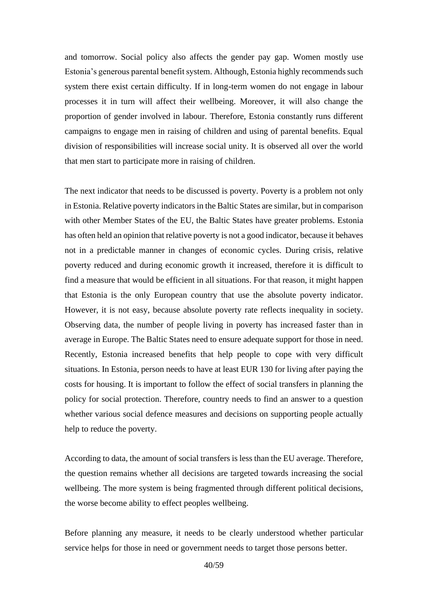and tomorrow. Social policy also affects the gender pay gap. Women mostly use Estonia's generous parental benefit system. Although, Estonia highly recommends such system there exist certain difficulty. If in long-term women do not engage in labour processes it in turn will affect their wellbeing. Moreover, it will also change the proportion of gender involved in labour. Therefore, Estonia constantly runs different campaigns to engage men in raising of children and using of parental benefits. Equal division of responsibilities will increase social unity. It is observed all over the world that men start to participate more in raising of children.

The next indicator that needs to be discussed is poverty. Poverty is a problem not only in Estonia. Relative poverty indicators in the Baltic States are similar, but in comparison with other Member States of the EU, the Baltic States have greater problems. Estonia has often held an opinion that relative poverty is not a good indicator, because it behaves not in a predictable manner in changes of economic cycles. During crisis, relative poverty reduced and during economic growth it increased, therefore it is difficult to find a measure that would be efficient in all situations. For that reason, it might happen that Estonia is the only European country that use the absolute poverty indicator. However, it is not easy, because absolute poverty rate reflects inequality in society. Observing data, the number of people living in poverty has increased faster than in average in Europe. The Baltic States need to ensure adequate support for those in need. Recently, Estonia increased benefits that help people to cope with very difficult situations. In Estonia, person needs to have at least EUR 130 for living after paying the costs for housing. It is important to follow the effect of social transfers in planning the policy for social protection. Therefore, country needs to find an answer to a question whether various social defence measures and decisions on supporting people actually help to reduce the poverty.

According to data, the amount of social transfers is less than the EU average. Therefore, the question remains whether all decisions are targeted towards increasing the social wellbeing. The more system is being fragmented through different political decisions, the worse become ability to effect peoples wellbeing.

Before planning any measure, it needs to be clearly understood whether particular service helps for those in need or government needs to target those persons better.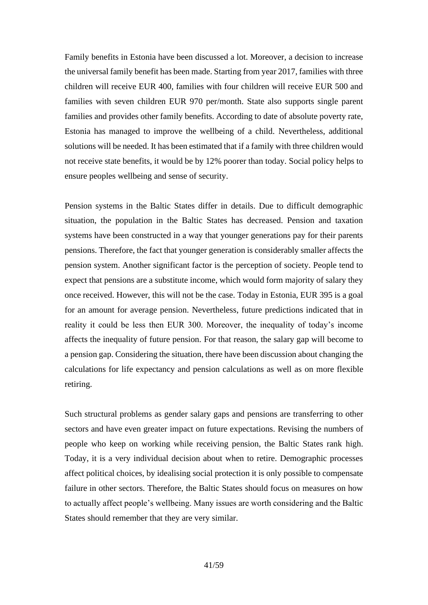Family benefits in Estonia have been discussed a lot. Moreover, a decision to increase the universal family benefit has been made. Starting from year 2017, families with three children will receive EUR 400, families with four children will receive EUR 500 and families with seven children EUR 970 per/month. State also supports single parent families and provides other family benefits. According to date of absolute poverty rate, Estonia has managed to improve the wellbeing of a child. Nevertheless, additional solutions will be needed. It has been estimated that if a family with three children would not receive state benefits, it would be by 12% poorer than today. Social policy helps to ensure peoples wellbeing and sense of security.

Pension systems in the Baltic States differ in details. Due to difficult demographic situation, the population in the Baltic States has decreased. Pension and taxation systems have been constructed in a way that younger generations pay for their parents pensions. Therefore, the fact that younger generation is considerably smaller affects the pension system. Another significant factor is the perception of society. People tend to expect that pensions are a substitute income, which would form majority of salary they once received. However, this will not be the case. Today in Estonia, EUR 395 is a goal for an amount for average pension. Nevertheless, future predictions indicated that in reality it could be less then EUR 300. Moreover, the inequality of today's income affects the inequality of future pension. For that reason, the salary gap will become to a pension gap. Considering the situation, there have been discussion about changing the calculations for life expectancy and pension calculations as well as on more flexible retiring.

Such structural problems as gender salary gaps and pensions are transferring to other sectors and have even greater impact on future expectations. Revising the numbers of people who keep on working while receiving pension, the Baltic States rank high. Today, it is a very individual decision about when to retire. Demographic processes affect political choices, by idealising social protection it is only possible to compensate failure in other sectors. Therefore, the Baltic States should focus on measures on how to actually affect people's wellbeing. Many issues are worth considering and the Baltic States should remember that they are very similar.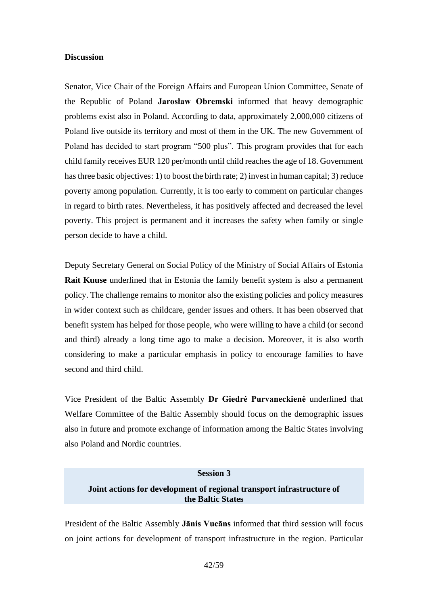#### **Discussion**

Senator, Vice Chair of the Foreign Affairs and European Union Committee, Senate of the Republic of Poland **Jarosław Obremski** informed that heavy demographic problems exist also in Poland. According to data, approximately 2,000,000 citizens of Poland live outside its territory and most of them in the UK. The new Government of Poland has decided to start program "500 plus". This program provides that for each child family receives EUR 120 per/month until child reaches the age of 18. Government has three basic objectives: 1) to boost the birth rate; 2) invest in human capital; 3) reduce poverty among population. Currently, it is too early to comment on particular changes in regard to birth rates. Nevertheless, it has positively affected and decreased the level poverty. This project is permanent and it increases the safety when family or single person decide to have a child.

Deputy Secretary General on Social Policy of the Ministry of Social Affairs of Estonia **Rait Kuuse** underlined that in Estonia the family benefit system is also a permanent policy. The challenge remains to monitor also the existing policies and policy measures in wider context such as childcare, gender issues and others. It has been observed that benefit system has helped for those people, who were willing to have a child (or second and third) already a long time ago to make a decision. Moreover, it is also worth considering to make a particular emphasis in policy to encourage families to have second and third child.

Vice President of the Baltic Assembly **Dr Giedrė Purvaneckienė** underlined that Welfare Committee of the Baltic Assembly should focus on the demographic issues also in future and promote exchange of information among the Baltic States involving also Poland and Nordic countries.

#### **Session 3**

### **Joint actions for development of regional transport infrastructure of the Baltic States**

President of the Baltic Assembly **Jānis Vucāns** informed that third session will focus on joint actions for development of transport infrastructure in the region. Particular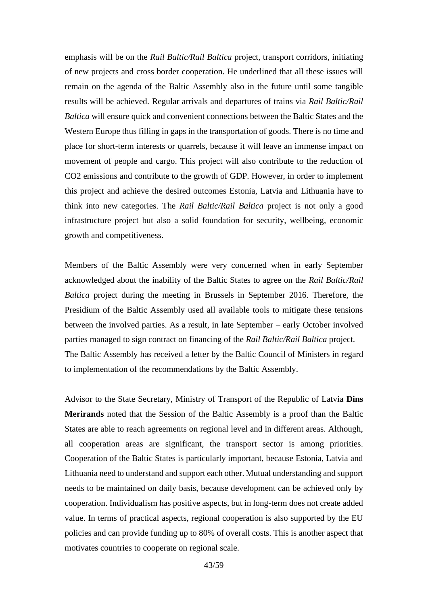emphasis will be on the *Rail Baltic/Rail Baltica* project, transport corridors, initiating of new projects and cross border cooperation. He underlined that all these issues will remain on the agenda of the Baltic Assembly also in the future until some tangible results will be achieved. Regular arrivals and departures of trains via *Rail Baltic/Rail Baltica* will ensure quick and convenient connections between the Baltic States and the Western Europe thus filling in gaps in the transportation of goods. There is no time and place for short-term interests or quarrels, because it will leave an immense impact on movement of people and cargo. This project will also contribute to the reduction of CO2 emissions and contribute to the growth of GDP. However, in order to implement this project and achieve the desired outcomes Estonia, Latvia and Lithuania have to think into new categories. The *Rail Baltic/Rail Baltica* project is not only a good infrastructure project but also a solid foundation for security, wellbeing, economic growth and competitiveness.

Members of the Baltic Assembly were very concerned when in early September acknowledged about the inability of the Baltic States to agree on the *Rail Baltic/Rail Baltica* project during the meeting in Brussels in September 2016. Therefore, the Presidium of the Baltic Assembly used all available tools to mitigate these tensions between the involved parties. As a result, in late September – early October involved parties managed to sign contract on financing of the *Rail Baltic/Rail Baltica* project. The Baltic Assembly has received a letter by the Baltic Council of Ministers in regard to implementation of the recommendations by the Baltic Assembly.

Advisor to the State Secretary, Ministry of Transport of the Republic of Latvia **Dins Merirands** noted that the Session of the Baltic Assembly is a proof than the Baltic States are able to reach agreements on regional level and in different areas. Although, all cooperation areas are significant, the transport sector is among priorities. Cooperation of the Baltic States is particularly important, because Estonia, Latvia and Lithuania need to understand and support each other. Mutual understanding and support needs to be maintained on daily basis, because development can be achieved only by cooperation. Individualism has positive aspects, but in long-term does not create added value. In terms of practical aspects, regional cooperation is also supported by the EU policies and can provide funding up to 80% of overall costs. This is another aspect that motivates countries to cooperate on regional scale.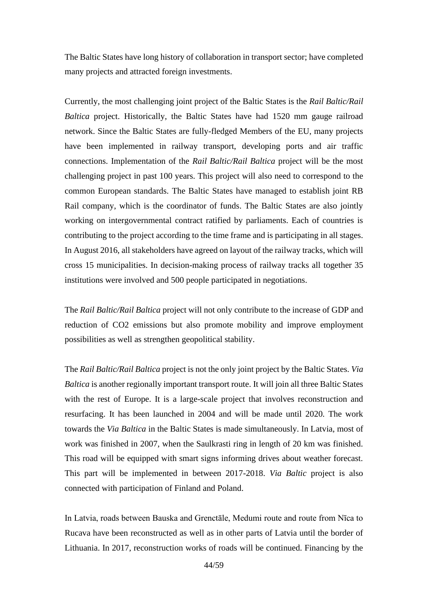The Baltic States have long history of collaboration in transport sector; have completed many projects and attracted foreign investments.

Currently, the most challenging joint project of the Baltic States is the *Rail Baltic/Rail Baltica* project. Historically, the Baltic States have had 1520 mm gauge railroad network. Since the Baltic States are fully-fledged Members of the EU, many projects have been implemented in railway transport, developing ports and air traffic connections. Implementation of the *Rail Baltic/Rail Baltica* project will be the most challenging project in past 100 years. This project will also need to correspond to the common European standards. The Baltic States have managed to establish joint RB Rail company, which is the coordinator of funds. The Baltic States are also jointly working on intergovernmental contract ratified by parliaments. Each of countries is contributing to the project according to the time frame and is participating in all stages. In August 2016, all stakeholders have agreed on layout of the railway tracks, which will cross 15 municipalities. In decision-making process of railway tracks all together 35 institutions were involved and 500 people participated in negotiations.

The *Rail Baltic/Rail Baltica* project will not only contribute to the increase of GDP and reduction of CO2 emissions but also promote mobility and improve employment possibilities as well as strengthen geopolitical stability.

The *Rail Baltic/Rail Baltica* project is not the only joint project by the Baltic States. *Via Baltica* is another regionally important transport route. It will join all three Baltic States with the rest of Europe. It is a large-scale project that involves reconstruction and resurfacing. It has been launched in 2004 and will be made until 2020. The work towards the *Via Baltica* in the Baltic States is made simultaneously. In Latvia, most of work was finished in 2007, when the Saulkrasti ring in length of 20 km was finished. This road will be equipped with smart signs informing drives about weather forecast. This part will be implemented in between 2017-2018. *Via Baltic* project is also connected with participation of Finland and Poland.

In Latvia, roads between Bauska and Grenctāle, Medumi route and route from Nīca to Rucava have been reconstructed as well as in other parts of Latvia until the border of Lithuania. In 2017, reconstruction works of roads will be continued. Financing by the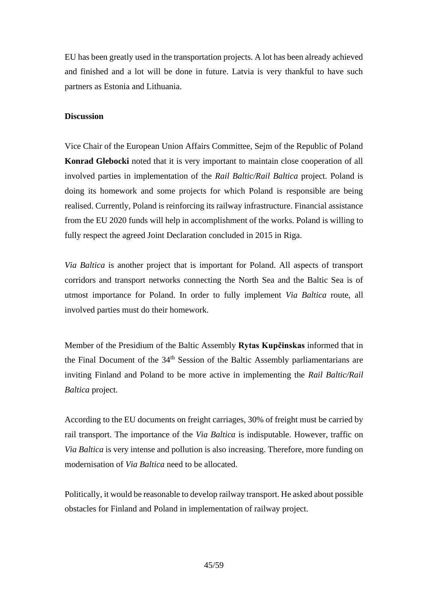EU has been greatly used in the transportation projects. A lot has been already achieved and finished and a lot will be done in future. Latvia is very thankful to have such partners as Estonia and Lithuania.

# **Discussion**

Vice Chair of the European Union Affairs Committee, Sejm of the Republic of Poland **Konrad Glebocki** noted that it is very important to maintain close cooperation of all involved parties in implementation of the *Rail Baltic/Rail Baltica* project. Poland is doing its homework and some projects for which Poland is responsible are being realised. Currently, Poland is reinforcing its railway infrastructure. Financial assistance from the EU 2020 funds will help in accomplishment of the works. Poland is willing to fully respect the agreed Joint Declaration concluded in 2015 in Riga.

*Via Baltica* is another project that is important for Poland. All aspects of transport corridors and transport networks connecting the North Sea and the Baltic Sea is of utmost importance for Poland. In order to fully implement *Via Baltica* route, all involved parties must do their homework.

Member of the Presidium of the Baltic Assembly **Rytas Kupčinskas** informed that in the Final Document of the  $34<sup>th</sup>$  Session of the Baltic Assembly parliamentarians are inviting Finland and Poland to be more active in implementing the *Rail Baltic/Rail Baltica* project.

According to the EU documents on freight carriages, 30% of freight must be carried by rail transport. The importance of the *Via Baltica* is indisputable. However, traffic on *Via Baltica* is very intense and pollution is also increasing. Therefore, more funding on modernisation of *Via Baltica* need to be allocated.

Politically, it would be reasonable to develop railway transport. He asked about possible obstacles for Finland and Poland in implementation of railway project.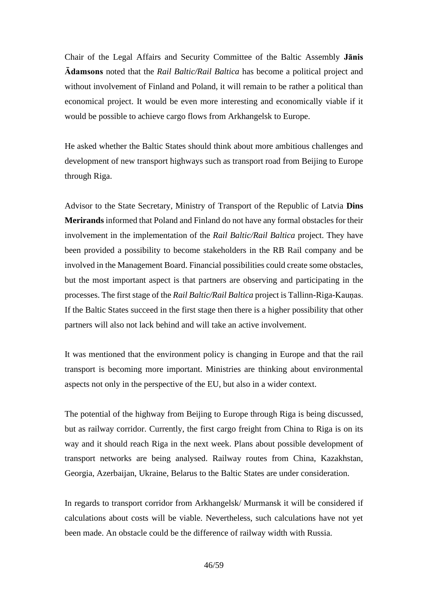Chair of the Legal Affairs and Security Committee of the Baltic Assembly **Jānis Ādamsons** noted that the *Rail Baltic/Rail Baltica* has become a political project and without involvement of Finland and Poland, it will remain to be rather a political than economical project. It would be even more interesting and economically viable if it would be possible to achieve cargo flows from Arkhangelsk to Europe.

He asked whether the Baltic States should think about more ambitious challenges and development of new transport highways such as transport road from Beijing to Europe through Riga.

Advisor to the State Secretary, Ministry of Transport of the Republic of Latvia **Dins Merirands** informed that Poland and Finland do not have any formal obstacles for their involvement in the implementation of the *Rail Baltic/Rail Baltica* project. They have been provided a possibility to become stakeholders in the RB Rail company and be involved in the Management Board. Financial possibilities could create some obstacles, but the most important aspect is that partners are observing and participating in the processes. The first stage of the *Rail Baltic/Rail Baltica* project is Tallinn-Riga-Kauņas. If the Baltic States succeed in the first stage then there is a higher possibility that other partners will also not lack behind and will take an active involvement.

It was mentioned that the environment policy is changing in Europe and that the rail transport is becoming more important. Ministries are thinking about environmental aspects not only in the perspective of the EU, but also in a wider context.

The potential of the highway from Beijing to Europe through Riga is being discussed, but as railway corridor. Currently, the first cargo freight from China to Riga is on its way and it should reach Riga in the next week. Plans about possible development of transport networks are being analysed. Railway routes from China, Kazakhstan, Georgia, Azerbaijan, Ukraine, Belarus to the Baltic States are under consideration.

In regards to transport corridor from Arkhangelsk/ Murmansk it will be considered if calculations about costs will be viable. Nevertheless, such calculations have not yet been made. An obstacle could be the difference of railway width with Russia.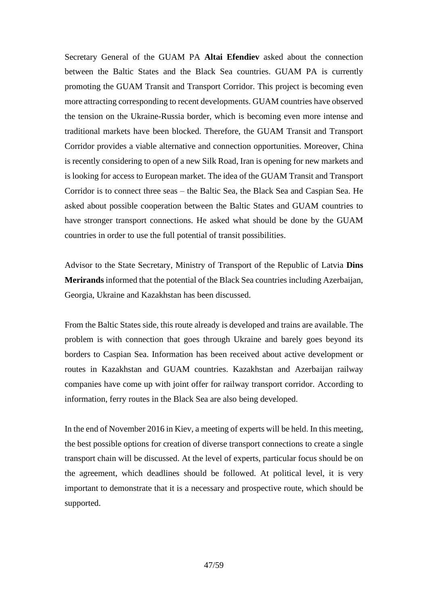Secretary General of the GUAM PA **Altai Efendiev** asked about the connection between the Baltic States and the Black Sea countries. GUAM PA is currently promoting the GUAM Transit and Transport Corridor. This project is becoming even more attracting corresponding to recent developments. GUAM countries have observed the tension on the Ukraine-Russia border, which is becoming even more intense and traditional markets have been blocked. Therefore, the GUAM Transit and Transport Corridor provides a viable alternative and connection opportunities. Moreover, China is recently considering to open of a new Silk Road, Iran is opening for new markets and is looking for access to European market. The idea of the GUAM Transit and Transport Corridor is to connect three seas – the Baltic Sea, the Black Sea and Caspian Sea. He asked about possible cooperation between the Baltic States and GUAM countries to have stronger transport connections. He asked what should be done by the GUAM countries in order to use the full potential of transit possibilities.

Advisor to the State Secretary, Ministry of Transport of the Republic of Latvia **Dins Merirands** informed that the potential of the Black Sea countries including Azerbaijan, Georgia, Ukraine and Kazakhstan has been discussed.

From the Baltic States side, this route already is developed and trains are available. The problem is with connection that goes through Ukraine and barely goes beyond its borders to Caspian Sea. Information has been received about active development or routes in Kazakhstan and GUAM countries. Kazakhstan and Azerbaijan railway companies have come up with joint offer for railway transport corridor. According to information, ferry routes in the Black Sea are also being developed.

In the end of November 2016 in Kiev, a meeting of experts will be held. In this meeting, the best possible options for creation of diverse transport connections to create a single transport chain will be discussed. At the level of experts, particular focus should be on the agreement, which deadlines should be followed. At political level, it is very important to demonstrate that it is a necessary and prospective route, which should be supported.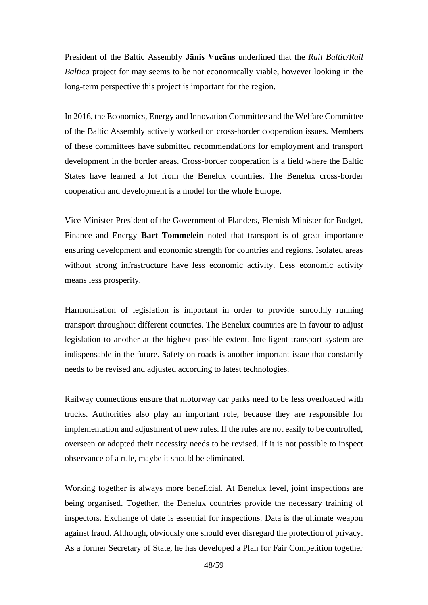President of the Baltic Assembly **Jānis Vucāns** underlined that the *Rail Baltic/Rail Baltica* project for may seems to be not economically viable, however looking in the long-term perspective this project is important for the region.

In 2016, the Economics, Energy and Innovation Committee and the Welfare Committee of the Baltic Assembly actively worked on cross-border cooperation issues. Members of these committees have submitted recommendations for employment and transport development in the border areas. Cross-border cooperation is a field where the Baltic States have learned a lot from the Benelux countries. The Benelux cross-border cooperation and development is a model for the whole Europe.

Vice-Minister-President of the Government of Flanders, Flemish Minister for Budget, Finance and Energy **Bart Tommelein** noted that transport is of great importance ensuring development and economic strength for countries and regions. Isolated areas without strong infrastructure have less economic activity. Less economic activity means less prosperity.

Harmonisation of legislation is important in order to provide smoothly running transport throughout different countries. The Benelux countries are in favour to adjust legislation to another at the highest possible extent. Intelligent transport system are indispensable in the future. Safety on roads is another important issue that constantly needs to be revised and adjusted according to latest technologies.

Railway connections ensure that motorway car parks need to be less overloaded with trucks. Authorities also play an important role, because they are responsible for implementation and adjustment of new rules. If the rules are not easily to be controlled, overseen or adopted their necessity needs to be revised. If it is not possible to inspect observance of a rule, maybe it should be eliminated.

Working together is always more beneficial. At Benelux level, joint inspections are being organised. Together, the Benelux countries provide the necessary training of inspectors. Exchange of date is essential for inspections. Data is the ultimate weapon against fraud. Although, obviously one should ever disregard the protection of privacy. As a former Secretary of State, he has developed a Plan for Fair Competition together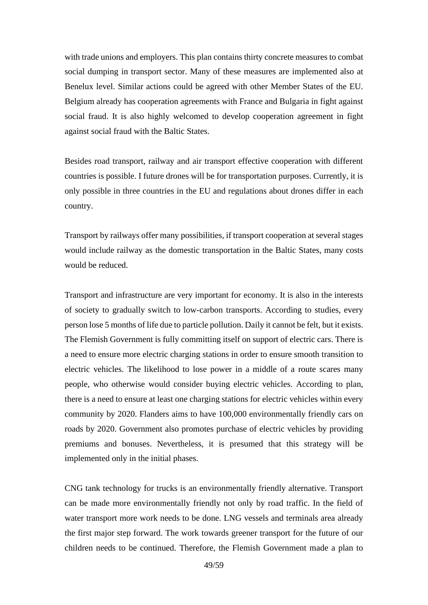with trade unions and employers. This plan contains thirty concrete measures to combat social dumping in transport sector. Many of these measures are implemented also at Benelux level. Similar actions could be agreed with other Member States of the EU. Belgium already has cooperation agreements with France and Bulgaria in fight against social fraud. It is also highly welcomed to develop cooperation agreement in fight against social fraud with the Baltic States.

Besides road transport, railway and air transport effective cooperation with different countries is possible. I future drones will be for transportation purposes. Currently, it is only possible in three countries in the EU and regulations about drones differ in each country.

Transport by railways offer many possibilities, if transport cooperation at several stages would include railway as the domestic transportation in the Baltic States, many costs would be reduced.

Transport and infrastructure are very important for economy. It is also in the interests of society to gradually switch to low-carbon transports. According to studies, every person lose 5 months of life due to particle pollution. Daily it cannot be felt, but it exists. The Flemish Government is fully committing itself on support of electric cars. There is a need to ensure more electric charging stations in order to ensure smooth transition to electric vehicles. The likelihood to lose power in a middle of a route scares many people, who otherwise would consider buying electric vehicles. According to plan, there is a need to ensure at least one charging stations for electric vehicles within every community by 2020. Flanders aims to have 100,000 environmentally friendly cars on roads by 2020. Government also promotes purchase of electric vehicles by providing premiums and bonuses. Nevertheless, it is presumed that this strategy will be implemented only in the initial phases.

CNG tank technology for trucks is an environmentally friendly alternative. Transport can be made more environmentally friendly not only by road traffic. In the field of water transport more work needs to be done. LNG vessels and terminals area already the first major step forward. The work towards greener transport for the future of our children needs to be continued. Therefore, the Flemish Government made a plan to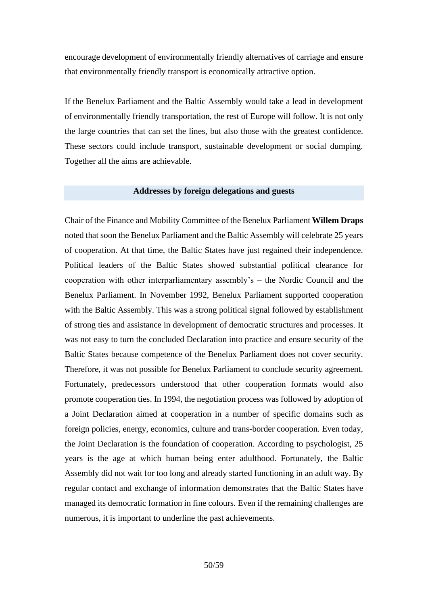encourage development of environmentally friendly alternatives of carriage and ensure that environmentally friendly transport is economically attractive option.

If the Benelux Parliament and the Baltic Assembly would take a lead in development of environmentally friendly transportation, the rest of Europe will follow. It is not only the large countries that can set the lines, but also those with the greatest confidence. These sectors could include transport, sustainable development or social dumping. Together all the aims are achievable.

#### **Addresses by foreign delegations and guests**

Chair of the Finance and Mobility Committee of the Benelux Parliament **Willem Draps** noted that soon the Benelux Parliament and the Baltic Assembly will celebrate 25 years of cooperation. At that time, the Baltic States have just regained their independence. Political leaders of the Baltic States showed substantial political clearance for cooperation with other interparliamentary assembly's – the Nordic Council and the Benelux Parliament. In November 1992, Benelux Parliament supported cooperation with the Baltic Assembly. This was a strong political signal followed by establishment of strong ties and assistance in development of democratic structures and processes. It was not easy to turn the concluded Declaration into practice and ensure security of the Baltic States because competence of the Benelux Parliament does not cover security. Therefore, it was not possible for Benelux Parliament to conclude security agreement. Fortunately, predecessors understood that other cooperation formats would also promote cooperation ties. In 1994, the negotiation process was followed by adoption of a Joint Declaration aimed at cooperation in a number of specific domains such as foreign policies, energy, economics, culture and trans-border cooperation. Even today, the Joint Declaration is the foundation of cooperation. According to psychologist, 25 years is the age at which human being enter adulthood. Fortunately, the Baltic Assembly did not wait for too long and already started functioning in an adult way. By regular contact and exchange of information demonstrates that the Baltic States have managed its democratic formation in fine colours. Even if the remaining challenges are numerous, it is important to underline the past achievements.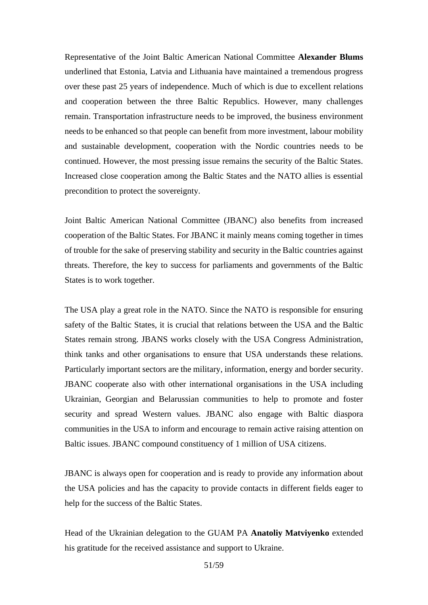Representative of the Joint Baltic American National Committee **Alexander Blums** underlined that Estonia, Latvia and Lithuania have maintained a tremendous progress over these past 25 years of independence. Much of which is due to excellent relations and cooperation between the three Baltic Republics. However, many challenges remain. Transportation infrastructure needs to be improved, the business environment needs to be enhanced so that people can benefit from more investment, labour mobility and sustainable development, cooperation with the Nordic countries needs to be continued. However, the most pressing issue remains the security of the Baltic States. Increased close cooperation among the Baltic States and the NATO allies is essential precondition to protect the sovereignty.

Joint Baltic American National Committee (JBANC) also benefits from increased cooperation of the Baltic States. For JBANC it mainly means coming together in times of trouble for the sake of preserving stability and security in the Baltic countries against threats. Therefore, the key to success for parliaments and governments of the Baltic States is to work together.

The USA play a great role in the NATO. Since the NATO is responsible for ensuring safety of the Baltic States, it is crucial that relations between the USA and the Baltic States remain strong. JBANS works closely with the USA Congress Administration, think tanks and other organisations to ensure that USA understands these relations. Particularly important sectors are the military, information, energy and border security. JBANC cooperate also with other international organisations in the USA including Ukrainian, Georgian and Belarussian communities to help to promote and foster security and spread Western values. JBANC also engage with Baltic diaspora communities in the USA to inform and encourage to remain active raising attention on Baltic issues. JBANC compound constituency of 1 million of USA citizens.

JBANC is always open for cooperation and is ready to provide any information about the USA policies and has the capacity to provide contacts in different fields eager to help for the success of the Baltic States.

Head of the Ukrainian delegation to the GUAM PA **Anatoliy Matviyenko** extended his gratitude for the received assistance and support to Ukraine.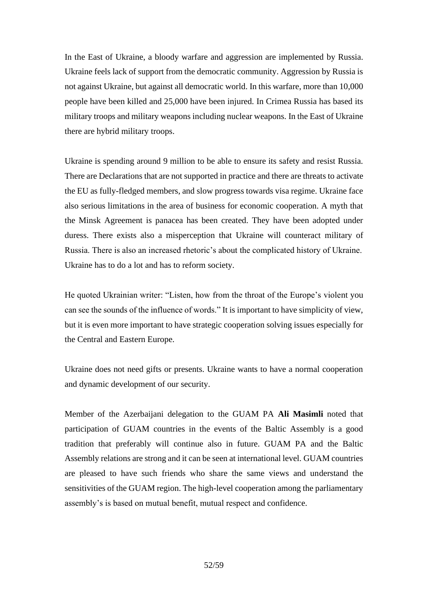In the East of Ukraine, a bloody warfare and aggression are implemented by Russia. Ukraine feels lack of support from the democratic community. Aggression by Russia is not against Ukraine, but against all democratic world. In this warfare, more than 10,000 people have been killed and 25,000 have been injured. In Crimea Russia has based its military troops and military weapons including nuclear weapons. In the East of Ukraine there are hybrid military troops.

Ukraine is spending around 9 million to be able to ensure its safety and resist Russia. There are Declarations that are not supported in practice and there are threats to activate the EU as fully-fledged members, and slow progress towards visa regime. Ukraine face also serious limitations in the area of business for economic cooperation. A myth that the Minsk Agreement is panacea has been created. They have been adopted under duress. There exists also a misperception that Ukraine will counteract military of Russia. There is also an increased rhetoric's about the complicated history of Ukraine. Ukraine has to do a lot and has to reform society.

He quoted Ukrainian writer: "Listen, how from the throat of the Europe's violent you can see the sounds of the influence of words." It is important to have simplicity of view, but it is even more important to have strategic cooperation solving issues especially for the Central and Eastern Europe.

Ukraine does not need gifts or presents. Ukraine wants to have a normal cooperation and dynamic development of our security.

Member of the Azerbaijani delegation to the GUAM PA **Ali Masimli** noted that participation of GUAM countries in the events of the Baltic Assembly is a good tradition that preferably will continue also in future. GUAM PA and the Baltic Assembly relations are strong and it can be seen at international level. GUAM countries are pleased to have such friends who share the same views and understand the sensitivities of the GUAM region. The high-level cooperation among the parliamentary assembly's is based on mutual benefit, mutual respect and confidence.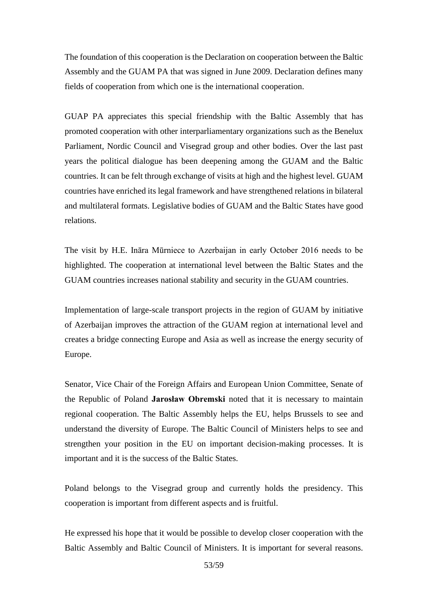The foundation of this cooperation is the Declaration on cooperation between the Baltic Assembly and the GUAM PA that was signed in June 2009. Declaration defines many fields of cooperation from which one is the international cooperation.

GUAP PA appreciates this special friendship with the Baltic Assembly that has promoted cooperation with other interparliamentary organizations such as the Benelux Parliament, Nordic Council and Visegrad group and other bodies. Over the last past years the political dialogue has been deepening among the GUAM and the Baltic countries. It can be felt through exchange of visits at high and the highest level. GUAM countries have enriched its legal framework and have strengthened relations in bilateral and multilateral formats. Legislative bodies of GUAM and the Baltic States have good relations.

The visit by H.E. Ināra Mūrniece to Azerbaijan in early October 2016 needs to be highlighted. The cooperation at international level between the Baltic States and the GUAM countries increases national stability and security in the GUAM countries.

Implementation of large-scale transport projects in the region of GUAM by initiative of Azerbaijan improves the attraction of the GUAM region at international level and creates a bridge connecting Europe and Asia as well as increase the energy security of Europe.

Senator, Vice Chair of the Foreign Affairs and European Union Committee, Senate of the Republic of Poland **Jarosław Obremski** noted that it is necessary to maintain regional cooperation. The Baltic Assembly helps the EU, helps Brussels to see and understand the diversity of Europe. The Baltic Council of Ministers helps to see and strengthen your position in the EU on important decision-making processes. It is important and it is the success of the Baltic States.

Poland belongs to the Visegrad group and currently holds the presidency. This cooperation is important from different aspects and is fruitful.

He expressed his hope that it would be possible to develop closer cooperation with the Baltic Assembly and Baltic Council of Ministers. It is important for several reasons.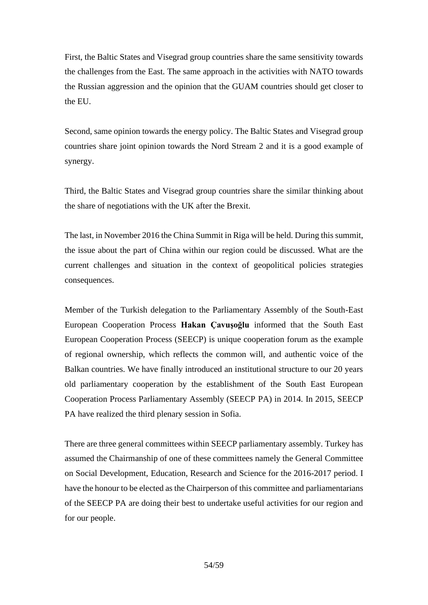First, the Baltic States and Visegrad group countries share the same sensitivity towards the challenges from the East. The same approach in the activities with NATO towards the Russian aggression and the opinion that the GUAM countries should get closer to the EU.

Second, same opinion towards the energy policy. The Baltic States and Visegrad group countries share joint opinion towards the Nord Stream 2 and it is a good example of synergy.

Third, the Baltic States and Visegrad group countries share the similar thinking about the share of negotiations with the UK after the Brexit.

The last, in November 2016 the China Summit in Riga will be held. During this summit, the issue about the part of China within our region could be discussed. What are the current challenges and situation in the context of geopolitical policies strategies consequences.

Member of the Turkish delegation to the Parliamentary Assembly of the South-East European Cooperation Process **Hakan Çavuşoğlu** informed that the South East European Cooperation Process (SEECP) is unique cooperation forum as the example of regional ownership, which reflects the common will, and authentic voice of the Balkan countries. We have finally introduced an institutional structure to our 20 years old parliamentary cooperation by the establishment of the South East European Cooperation Process Parliamentary Assembly (SEECP PA) in 2014. In 2015, SEECP PA have realized the third plenary session in Sofia.

There are three general committees within SEECP parliamentary assembly. Turkey has assumed the Chairmanship of one of these committees namely the General Committee on Social Development, Education, Research and Science for the 2016-2017 period. I have the honour to be elected as the Chairperson of this committee and parliamentarians of the SEECP PA are doing their best to undertake useful activities for our region and for our people.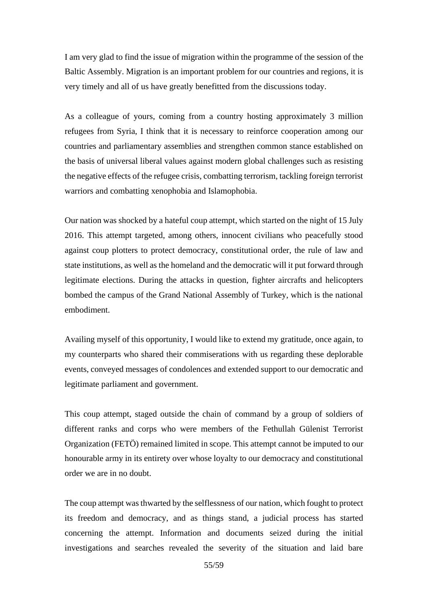I am very glad to find the issue of migration within the programme of the session of the Baltic Assembly. Migration is an important problem for our countries and regions, it is very timely and all of us have greatly benefitted from the discussions today.

As a colleague of yours, coming from a country hosting approximately 3 million refugees from Syria, I think that it is necessary to reinforce cooperation among our countries and parliamentary assemblies and strengthen common stance established on the basis of universal liberal values against modern global challenges such as resisting the negative effects of the refugee crisis, combatting terrorism, tackling foreign terrorist warriors and combatting xenophobia and Islamophobia.

Our nation was shocked by a hateful coup attempt, which started on the night of 15 July 2016. This attempt targeted, among others, innocent civilians who peacefully stood against coup plotters to protect democracy, constitutional order, the rule of law and state institutions, as well as the homeland and the democratic will it put forward through legitimate elections. During the attacks in question, fighter aircrafts and helicopters bombed the campus of the Grand National Assembly of Turkey, which is the national embodiment.

Availing myself of this opportunity, I would like to extend my gratitude, once again, to my counterparts who shared their commiserations with us regarding these deplorable events, conveyed messages of condolences and extended support to our democratic and legitimate parliament and government.

This coup attempt, staged outside the chain of command by a group of soldiers of different ranks and corps who were members of the Fethullah Gülenist Terrorist Organization (FETÖ) remained limited in scope. This attempt cannot be imputed to our honourable army in its entirety over whose loyalty to our democracy and constitutional order we are in no doubt.

The coup attempt was thwarted by the selflessness of our nation, which fought to protect its freedom and democracy, and as things stand, a judicial process has started concerning the attempt. Information and documents seized during the initial investigations and searches revealed the severity of the situation and laid bare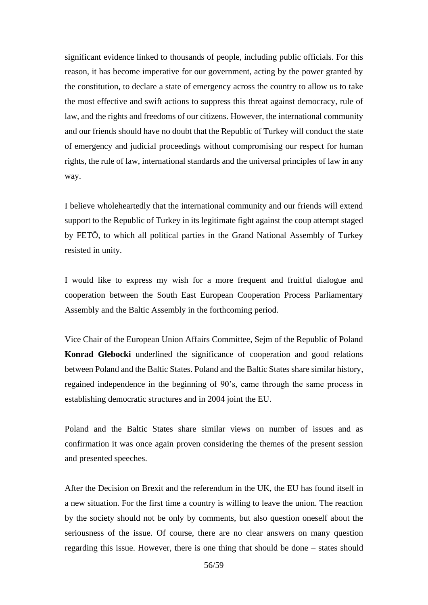significant evidence linked to thousands of people, including public officials. For this reason, it has become imperative for our government, acting by the power granted by the constitution, to declare a state of emergency across the country to allow us to take the most effective and swift actions to suppress this threat against democracy, rule of law, and the rights and freedoms of our citizens. However, the international community and our friends should have no doubt that the Republic of Turkey will conduct the state of emergency and judicial proceedings without compromising our respect for human rights, the rule of law, international standards and the universal principles of law in any way.

I believe wholeheartedly that the international community and our friends will extend support to the Republic of Turkey in its legitimate fight against the coup attempt staged by FETÖ, to which all political parties in the Grand National Assembly of Turkey resisted in unity.

I would like to express my wish for a more frequent and fruitful dialogue and cooperation between the South East European Cooperation Process Parliamentary Assembly and the Baltic Assembly in the forthcoming period.

Vice Chair of the European Union Affairs Committee, Sejm of the Republic of Poland **Konrad Glebocki** underlined the significance of cooperation and good relations between Poland and the Baltic States. Poland and the Baltic States share similar history, regained independence in the beginning of 90's, came through the same process in establishing democratic structures and in 2004 joint the EU.

Poland and the Baltic States share similar views on number of issues and as confirmation it was once again proven considering the themes of the present session and presented speeches.

After the Decision on Brexit and the referendum in the UK, the EU has found itself in a new situation. For the first time a country is willing to leave the union. The reaction by the society should not be only by comments, but also question oneself about the seriousness of the issue. Of course, there are no clear answers on many question regarding this issue. However, there is one thing that should be done – states should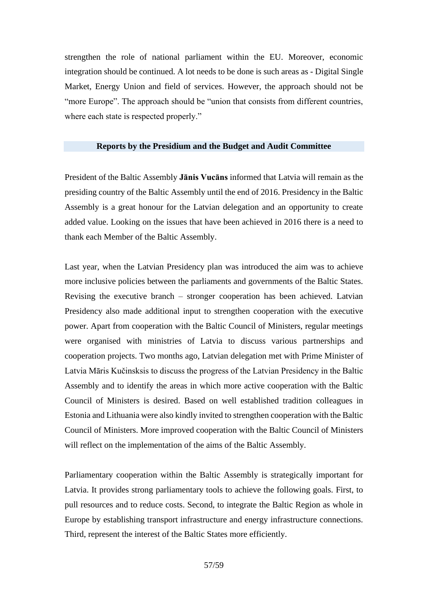strengthen the role of national parliament within the EU. Moreover, economic integration should be continued. A lot needs to be done is such areas as - Digital Single Market, Energy Union and field of services. However, the approach should not be "more Europe". The approach should be "union that consists from different countries, where each state is respected properly."

#### **Reports by the Presidium and the Budget and Audit Committee**

President of the Baltic Assembly **Jānis Vucāns** informed that Latvia will remain as the presiding country of the Baltic Assembly until the end of 2016. Presidency in the Baltic Assembly is a great honour for the Latvian delegation and an opportunity to create added value. Looking on the issues that have been achieved in 2016 there is a need to thank each Member of the Baltic Assembly.

Last year, when the Latvian Presidency plan was introduced the aim was to achieve more inclusive policies between the parliaments and governments of the Baltic States. Revising the executive branch – stronger cooperation has been achieved. Latvian Presidency also made additional input to strengthen cooperation with the executive power. Apart from cooperation with the Baltic Council of Ministers, regular meetings were organised with ministries of Latvia to discuss various partnerships and cooperation projects. Two months ago, Latvian delegation met with Prime Minister of Latvia Māris Kučinsksis to discuss the progress of the Latvian Presidency in the Baltic Assembly and to identify the areas in which more active cooperation with the Baltic Council of Ministers is desired. Based on well established tradition colleagues in Estonia and Lithuania were also kindly invited to strengthen cooperation with the Baltic Council of Ministers. More improved cooperation with the Baltic Council of Ministers will reflect on the implementation of the aims of the Baltic Assembly.

Parliamentary cooperation within the Baltic Assembly is strategically important for Latvia. It provides strong parliamentary tools to achieve the following goals. First, to pull resources and to reduce costs. Second, to integrate the Baltic Region as whole in Europe by establishing transport infrastructure and energy infrastructure connections. Third, represent the interest of the Baltic States more efficiently.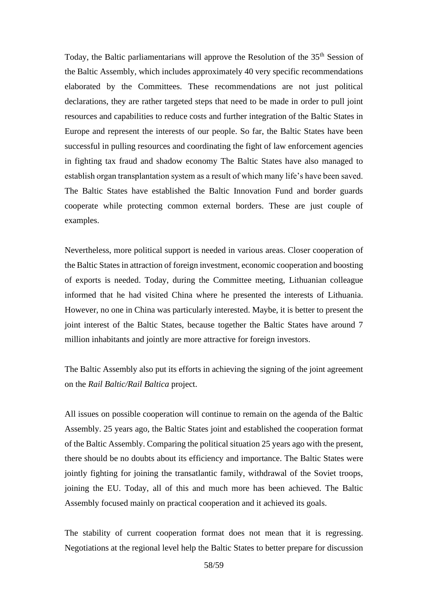Today, the Baltic parliamentarians will approve the Resolution of the 35<sup>th</sup> Session of the Baltic Assembly, which includes approximately 40 very specific recommendations elaborated by the Committees. These recommendations are not just political declarations, they are rather targeted steps that need to be made in order to pull joint resources and capabilities to reduce costs and further integration of the Baltic States in Europe and represent the interests of our people. So far, the Baltic States have been successful in pulling resources and coordinating the fight of law enforcement agencies in fighting tax fraud and shadow economy The Baltic States have also managed to establish organ transplantation system as a result of which many life's have been saved. The Baltic States have established the Baltic Innovation Fund and border guards cooperate while protecting common external borders. These are just couple of examples.

Nevertheless, more political support is needed in various areas. Closer cooperation of the Baltic States in attraction of foreign investment, economic cooperation and boosting of exports is needed. Today, during the Committee meeting, Lithuanian colleague informed that he had visited China where he presented the interests of Lithuania. However, no one in China was particularly interested. Maybe, it is better to present the joint interest of the Baltic States, because together the Baltic States have around 7 million inhabitants and jointly are more attractive for foreign investors.

The Baltic Assembly also put its efforts in achieving the signing of the joint agreement on the *Rail Baltic/Rail Baltica* project.

All issues on possible cooperation will continue to remain on the agenda of the Baltic Assembly. 25 years ago, the Baltic States joint and established the cooperation format of the Baltic Assembly. Comparing the political situation 25 years ago with the present, there should be no doubts about its efficiency and importance. The Baltic States were jointly fighting for joining the transatlantic family, withdrawal of the Soviet troops, joining the EU. Today, all of this and much more has been achieved. The Baltic Assembly focused mainly on practical cooperation and it achieved its goals.

The stability of current cooperation format does not mean that it is regressing. Negotiations at the regional level help the Baltic States to better prepare for discussion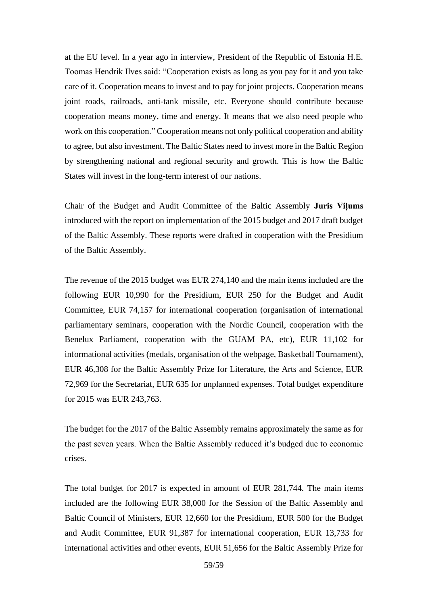at the EU level. In a year ago in interview, President of the Republic of Estonia H.E. Toomas Hendrik Ilves said: "Cooperation exists as long as you pay for it and you take care of it. Cooperation means to invest and to pay for joint projects. Cooperation means joint roads, railroads, anti-tank missile, etc. Everyone should contribute because cooperation means money, time and energy. It means that we also need people who work on this cooperation." Cooperation means not only political cooperation and ability to agree, but also investment. The Baltic States need to invest more in the Baltic Region by strengthening national and regional security and growth. This is how the Baltic States will invest in the long-term interest of our nations.

Chair of the Budget and Audit Committee of the Baltic Assembly **Juris Viļums** introduced with the report on implementation of the 2015 budget and 2017 draft budget of the Baltic Assembly. These reports were drafted in cooperation with the Presidium of the Baltic Assembly.

The revenue of the 2015 budget was EUR 274,140 and the main items included are the following EUR 10,990 for the Presidium, EUR 250 for the Budget and Audit Committee, EUR 74,157 for international cooperation (organisation of international parliamentary seminars, cooperation with the Nordic Council, cooperation with the Benelux Parliament, cooperation with the GUAM PA, etc), EUR 11,102 for informational activities (medals, organisation of the webpage, Basketball Tournament), EUR 46,308 for the Baltic Assembly Prize for Literature, the Arts and Science, EUR 72,969 for the Secretariat, EUR 635 for unplanned expenses. Total budget expenditure for 2015 was EUR 243,763.

The budget for the 2017 of the Baltic Assembly remains approximately the same as for the past seven years. When the Baltic Assembly reduced it's budged due to economic crises.

The total budget for 2017 is expected in amount of EUR 281,744. The main items included are the following EUR 38,000 for the Session of the Baltic Assembly and Baltic Council of Ministers, EUR 12,660 for the Presidium, EUR 500 for the Budget and Audit Committee, EUR 91,387 for international cooperation, EUR 13,733 for international activities and other events, EUR 51,656 for the Baltic Assembly Prize for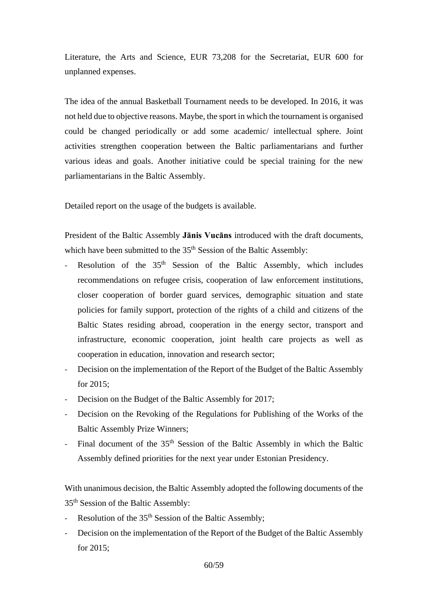Literature, the Arts and Science, EUR 73,208 for the Secretariat, EUR 600 for unplanned expenses.

The idea of the annual Basketball Tournament needs to be developed. In 2016, it was not held due to objective reasons. Maybe, the sport in which the tournament is organised could be changed periodically or add some academic/ intellectual sphere. Joint activities strengthen cooperation between the Baltic parliamentarians and further various ideas and goals. Another initiative could be special training for the new parliamentarians in the Baltic Assembly.

Detailed report on the usage of the budgets is available.

President of the Baltic Assembly **Jānis Vucāns** introduced with the draft documents, which have been submitted to the 35<sup>th</sup> Session of the Baltic Assembly:

- Resolution of the  $35<sup>th</sup>$  Session of the Baltic Assembly, which includes recommendations on refugee crisis, cooperation of law enforcement institutions, closer cooperation of border guard services, demographic situation and state policies for family support, protection of the rights of a child and citizens of the Baltic States residing abroad, cooperation in the energy sector, transport and infrastructure, economic cooperation, joint health care projects as well as cooperation in education, innovation and research sector;
- Decision on the implementation of the Report of the Budget of the Baltic Assembly for 2015;
- Decision on the Budget of the Baltic Assembly for 2017;
- Decision on the Revoking of the Regulations for Publishing of the Works of the Baltic Assembly Prize Winners;
- Final document of the 35<sup>th</sup> Session of the Baltic Assembly in which the Baltic Assembly defined priorities for the next year under Estonian Presidency.

With unanimous decision, the Baltic Assembly adopted the following documents of the 35th Session of the Baltic Assembly:

- Resolution of the 35<sup>th</sup> Session of the Baltic Assembly;
- Decision on the implementation of the Report of the Budget of the Baltic Assembly for 2015;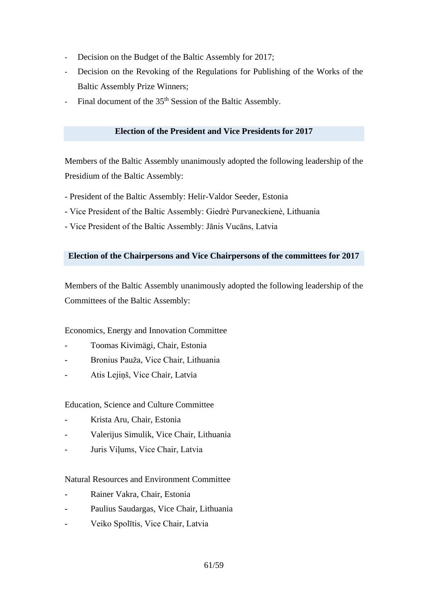- Decision on the Budget of the Baltic Assembly for 2017;
- Decision on the Revoking of the Regulations for Publishing of the Works of the Baltic Assembly Prize Winners;
- Final document of the 35<sup>th</sup> Session of the Baltic Assembly.

# **Election of the President and Vice Presidents for 2017**

Members of the Baltic Assembly unanimously adopted the following leadership of the Presidium of the Baltic Assembly:

- President of the Baltic Assembly: Helir-Valdor Seeder, Estonia
- Vice President of the Baltic Assembly: Giedrė Purvaneckienė, Lithuania
- Vice President of the Baltic Assembly: Jānis Vucāns, Latvia

# **Election of the Chairpersons and Vice Chairpersons of the committees for 2017**

Members of the Baltic Assembly unanimously adopted the following leadership of the Committees of the Baltic Assembly:

Economics, Energy and Innovation Committee

- Toomas Kivimägi, Chair, Estonia
- Bronius Pauža, Vice Chair, Lithuania
- Atis Lejiņš, Vice Chair, Latvia

Education, Science and Culture Committee

- Krista Aru, Chair, Estonia
- Valerijus Simulik, Vice Chair, Lithuania
- Juris Viļums, Vice Chair, Latvia

# Natural Resources and Environment Committee

- Rainer Vakra, Chair, Estonia
- Paulius Saudargas, Vice Chair, Lithuania
- Veiko Spolītis, Vice Chair, Latvia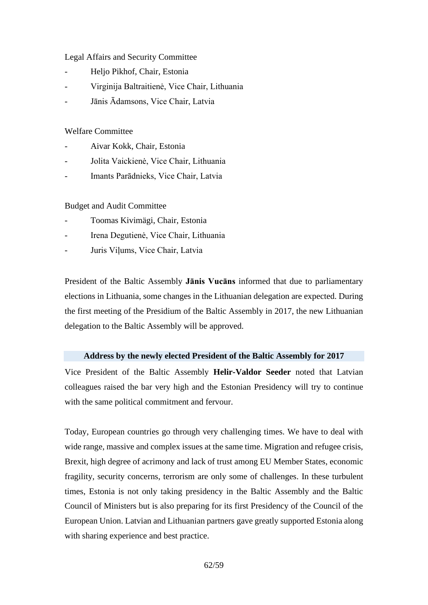# Legal Affairs and Security Committee

- Heljo Pikhof, Chair, Estonia
- Virginija Baltraitienė, Vice Chair, Lithuania
- Jānis Ādamsons, Vice Chair, Latvia

# Welfare Committee

- Aivar Kokk, Chair, Estonia
- Jolita Vaickienė, Vice Chair, Lithuania
- Imants Parādnieks, Vice Chair, Latvia

Budget and Audit Committee

- Toomas Kivimägi, Chair, Estonia
- Irena Degutienė, Vice Chair, Lithuania
- Juris Viļums, Vice Chair, Latvia

President of the Baltic Assembly **Jānis Vucāns** informed that due to parliamentary elections in Lithuania, some changes in the Lithuanian delegation are expected. During the first meeting of the Presidium of the Baltic Assembly in 2017, the new Lithuanian delegation to the Baltic Assembly will be approved.

# **Address by the newly elected President of the Baltic Assembly for 2017**

Vice President of the Baltic Assembly **Helir-Valdor Seeder** noted that Latvian colleagues raised the bar very high and the Estonian Presidency will try to continue with the same political commitment and fervour.

Today, European countries go through very challenging times. We have to deal with wide range, massive and complex issues at the same time. Migration and refugee crisis, Brexit, high degree of acrimony and lack of trust among EU Member States, economic fragility, security concerns, terrorism are only some of challenges. In these turbulent times, Estonia is not only taking presidency in the Baltic Assembly and the Baltic Council of Ministers but is also preparing for its first Presidency of the Council of the European Union. Latvian and Lithuanian partners gave greatly supported Estonia along with sharing experience and best practice.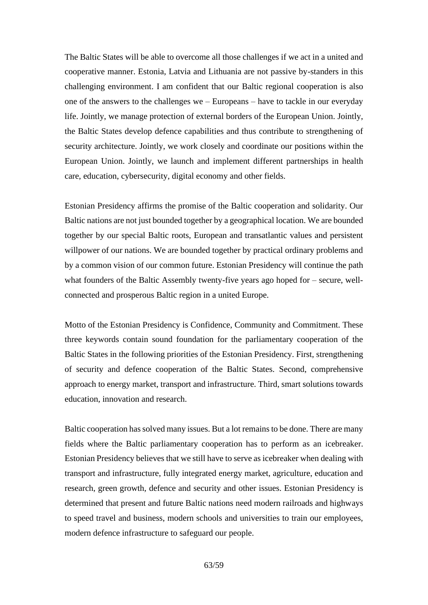The Baltic States will be able to overcome all those challenges if we act in a united and cooperative manner. Estonia, Latvia and Lithuania are not passive by-standers in this challenging environment. I am confident that our Baltic regional cooperation is also one of the answers to the challenges we – Europeans – have to tackle in our everyday life. Jointly, we manage protection of external borders of the European Union. Jointly, the Baltic States develop defence capabilities and thus contribute to strengthening of security architecture. Jointly, we work closely and coordinate our positions within the European Union. Jointly, we launch and implement different partnerships in health care, education, cybersecurity, digital economy and other fields.

Estonian Presidency affirms the promise of the Baltic cooperation and solidarity. Our Baltic nations are not just bounded together by a geographical location. We are bounded together by our special Baltic roots, European and transatlantic values and persistent willpower of our nations. We are bounded together by practical ordinary problems and by a common vision of our common future. Estonian Presidency will continue the path what founders of the Baltic Assembly twenty-five years ago hoped for – secure, wellconnected and prosperous Baltic region in a united Europe.

Motto of the Estonian Presidency is Confidence, Community and Commitment. These three keywords contain sound foundation for the parliamentary cooperation of the Baltic States in the following priorities of the Estonian Presidency. First, strengthening of security and defence cooperation of the Baltic States. Second, comprehensive approach to energy market, transport and infrastructure. Third, smart solutions towards education, innovation and research.

Baltic cooperation has solved many issues. But a lot remains to be done. There are many fields where the Baltic parliamentary cooperation has to perform as an icebreaker. Estonian Presidency believes that we still have to serve as icebreaker when dealing with transport and infrastructure, fully integrated energy market, agriculture, education and research, green growth, defence and security and other issues. Estonian Presidency is determined that present and future Baltic nations need modern railroads and highways to speed travel and business, modern schools and universities to train our employees, modern defence infrastructure to safeguard our people.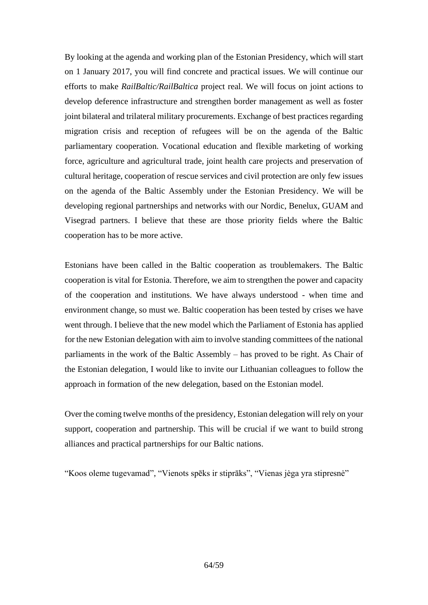By looking at the agenda and working plan of the Estonian Presidency, which will start on 1 January 2017, you will find concrete and practical issues. We will continue our efforts to make *RailBaltic/RailBaltica* project real. We will focus on joint actions to develop deference infrastructure and strengthen border management as well as foster joint bilateral and trilateral military procurements. Exchange of best practices regarding migration crisis and reception of refugees will be on the agenda of the Baltic parliamentary cooperation. Vocational education and flexible marketing of working force, agriculture and agricultural trade, joint health care projects and preservation of cultural heritage, cooperation of rescue services and civil protection are only few issues on the agenda of the Baltic Assembly under the Estonian Presidency. We will be developing regional partnerships and networks with our Nordic, Benelux, GUAM and Visegrad partners. I believe that these are those priority fields where the Baltic cooperation has to be more active.

Estonians have been called in the Baltic cooperation as troublemakers. The Baltic cooperation is vital for Estonia. Therefore, we aim to strengthen the power and capacity of the cooperation and institutions. We have always understood - when time and environment change, so must we. Baltic cooperation has been tested by crises we have went through. I believe that the new model which the Parliament of Estonia has applied for the new Estonian delegation with aim to involve standing committees of the national parliaments in the work of the Baltic Assembly – has proved to be right. As Chair of the Estonian delegation, I would like to invite our Lithuanian colleagues to follow the approach in formation of the new delegation, based on the Estonian model.

Over the coming twelve months of the presidency, Estonian delegation will rely on your support, cooperation and partnership. This will be crucial if we want to build strong alliances and practical partnerships for our Baltic nations.

"Koos oleme tugevamad", "Vienots spēks ir stiprāks", "Vienas jėga yra stipresnė"